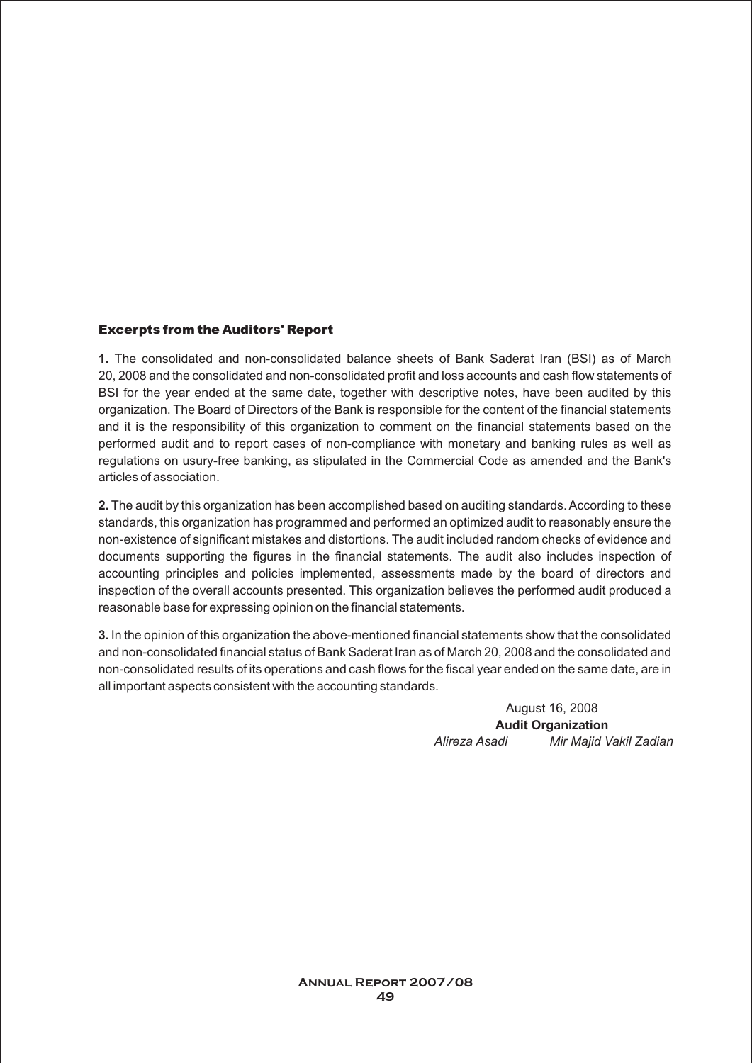#### **Excerpts from the Auditors' Report**

**1.** The consolidated and non-consolidated balance sheets of Bank Saderat Iran (BSI) as of March 20, 2008 and the consolidated and non-consolidated profit and loss accounts and cash flow statements of BSI for the year ended at the same date, together with descriptive notes, have been audited by this organization. The Board of Directors of the Bank is responsible for the content of the financial statements and it is the responsibility of this organization to comment on the financial statements based on the performed audit and to report cases of non-compliance with monetary and banking rules as well as regulations on usury-free banking, as stipulated in the Commercial Code as amended and the Bank's articles of association.

**2.** The audit by this organization has been accomplished based on auditing standards. According to these standards, this organization has programmed and performed an optimized audit to reasonably ensure the non-existence of significant mistakes and distortions. The audit included random checks of evidence and documents supporting the figures in the financial statements. The audit also includes inspection of accounting principles and policies implemented, assessments made by the board of directors and inspection of the overall accounts presented. This organization believes the performed audit produced a reasonable base for expressing opinion on the financial statements.

**3.**In the opinion of this organization the above-mentioned financial statements show that the consolidated and non-consolidated financial status of Bank Saderat Iran as of March 20, 2008 and the consolidated and non-consolidated results of its operations and cash flows for the fiscal year ended on the same date, are in all important aspects consistent with the accounting standards.

> August 16, 2008 **Audit Organization** *Alireza Asadi Mir Majid Vakil Zadian*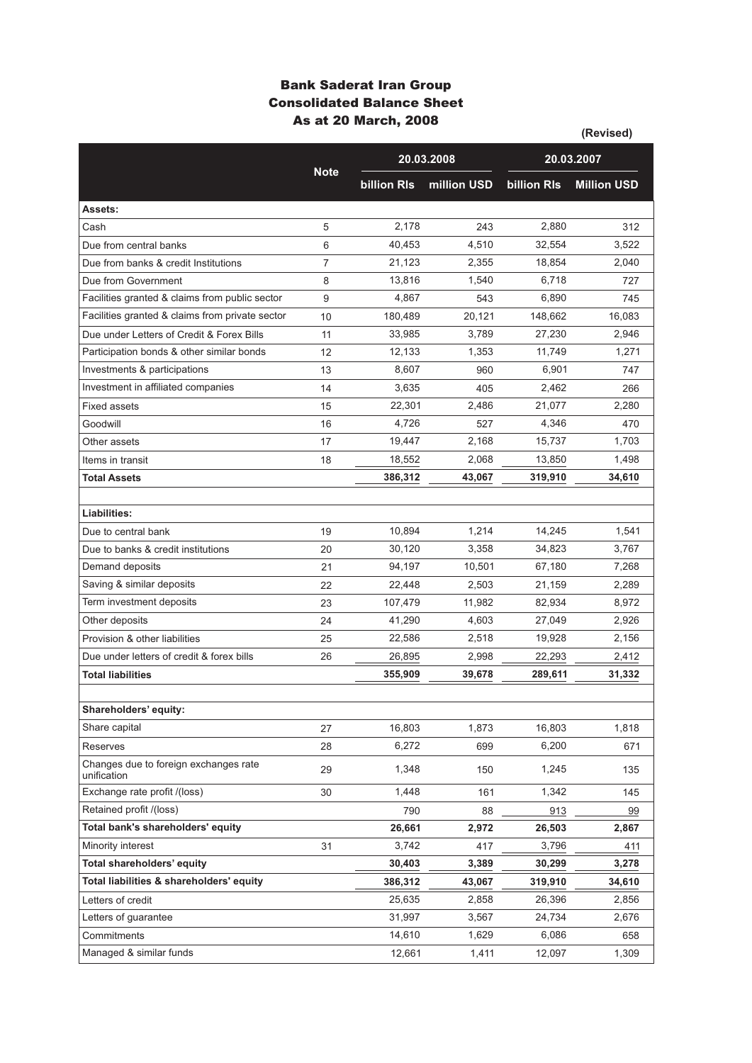### **Bank Saderat Iran Group Consolidated Balance Sheet As at 20 March, 2008**

|                                                      |             |                    |             | (Revised)          |                    |  |
|------------------------------------------------------|-------------|--------------------|-------------|--------------------|--------------------|--|
|                                                      |             |                    | 20.03.2008  | 20.03.2007         |                    |  |
|                                                      | <b>Note</b> | <b>billion RIs</b> | million USD | <b>billion RIs</b> | <b>Million USD</b> |  |
| Assets:                                              |             |                    |             |                    |                    |  |
| Cash                                                 | 5           | 2,178              | 243         | 2,880              | 312                |  |
| Due from central banks                               | 6           | 40,453             | 4,510       | 32,554             | 3,522              |  |
| Due from banks & credit Institutions                 | 7           | 21,123             | 2,355       | 18,854             | 2,040              |  |
| Due from Government                                  | 8           | 13,816             | 1,540       | 6,718              | 727                |  |
| Facilities granted & claims from public sector       | 9           | 4,867              | 543         | 6,890              | 745                |  |
| Facilities granted & claims from private sector      | 10          | 180,489            | 20,121      | 148,662            | 16,083             |  |
| Due under Letters of Credit & Forex Bills            | 11          | 33,985             | 3,789       | 27,230             | 2,946              |  |
| Participation bonds & other similar bonds            | 12          | 12,133             | 1,353       | 11,749             | 1,271              |  |
| Investments & participations                         | 13          | 8,607              | 960         | 6,901              | 747                |  |
| Investment in affiliated companies                   | 14          | 3.635              | 405         | 2,462              | 266                |  |
| <b>Fixed assets</b>                                  | 15          | 22,301             | 2,486       | 21,077             | 2,280              |  |
| Goodwill                                             | 16          | 4,726              | 527         | 4,346              | 470                |  |
| Other assets                                         | 17          | 19,447             | 2,168       | 15,737             | 1,703              |  |
| Items in transit                                     | 18          | 18,552             | 2,068       | 13,850             | 1,498              |  |
| <b>Total Assets</b>                                  |             | 386,312            | 43.067      | 319,910            | 34.610             |  |
|                                                      |             |                    |             |                    |                    |  |
| Liabilities:                                         |             |                    |             |                    |                    |  |
| Due to central bank                                  | 19          | 10,894             | 1,214       | 14,245             | 1,541              |  |
| Due to banks & credit institutions                   | 20          | 30,120             | 3,358       | 34,823             | 3,767              |  |
| Demand deposits                                      | 21          | 94,197             | 10,501      | 67,180             | 7,268              |  |
| Saving & similar deposits                            | 22          | 22,448             | 2,503       | 21,159             | 2,289              |  |
| Term investment deposits                             | 23          | 107,479            | 11,982      | 82,934             | 8,972              |  |
| Other deposits                                       | 24          | 41,290             | 4,603       | 27,049             | 2,926              |  |
| Provision & other liabilities                        | 25          | 22,586             | 2,518       | 19,928             | 2,156              |  |
| Due under letters of credit & forex bills            | 26          | 26,895             | 2,998       | 22,293             | 2,412              |  |
| <b>Total liabilities</b>                             |             | 355,909            | 39,678      | 289,611            | 31,332             |  |
|                                                      |             |                    |             |                    |                    |  |
| Shareholders' equity:                                |             |                    |             |                    |                    |  |
| Share capital                                        | 27          | 16,803             | 1,873       | 16,803             | 1,818              |  |
| Reserves                                             | 28          | 6,272              | 699         | 6.200              | 671                |  |
| Changes due to foreign exchanges rate<br>unification | 29          | 1,348              | 150         | 1,245              | 135                |  |
| Exchange rate profit /(loss)                         | 30          | 1,448              | 161         | 1,342              | 145                |  |
| Retained profit /(loss)                              |             | 790                | 88          | 913                | 99                 |  |
| Total bank's shareholders' equity                    |             | 26,661             | 2,972       | 26,503             | 2,867              |  |
| Minority interest                                    | 31          | 3,742              | 417         | 3,796              | 411                |  |
| Total shareholders' equity                           |             | 30,403             | 3,389       | 30,299             | 3,278              |  |
| Total liabilities & shareholders' equity             |             | 386,312            | 43,067      | 319,910            | 34,610             |  |
| Letters of credit                                    |             | 25,635             | 2,858       | 26,396             | 2,856              |  |
| Letters of guarantee                                 |             | 31,997             | 3,567       | 24,734             | 2,676              |  |
| Commitments                                          |             | 14,610             | 1,629       | 6,086              | 658                |  |
| Managed & similar funds                              |             | 12,661             | 1,411       | 12,097             | 1,309              |  |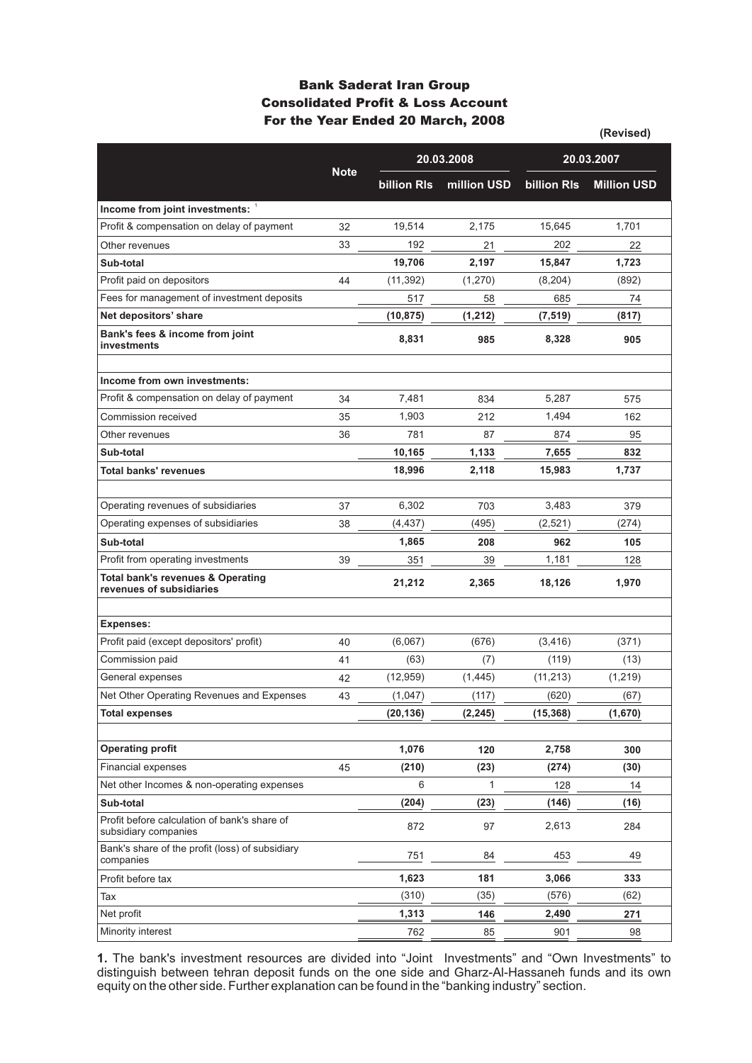### **Bank Saderat Iran Group Consolidated Profit & Loss Account For the Year Ended 20 March, 2008**

|                                                                          |             |             |             |             | (Revised)          |  |
|--------------------------------------------------------------------------|-------------|-------------|-------------|-------------|--------------------|--|
|                                                                          | <b>Note</b> |             | 20.03.2008  |             | 20.03.2007         |  |
|                                                                          |             | billion RIs | million USD | billion RIs | <b>Million USD</b> |  |
| Income from joint investments: 1                                         |             |             |             |             |                    |  |
| Profit & compensation on delay of payment                                | 32          | 19,514      | 2,175       | 15,645      | 1,701              |  |
| Other revenues                                                           | 33          | 192         | 21          | 202         | 22                 |  |
| Sub-total                                                                |             | 19,706      | 2,197       | 15,847      | 1,723              |  |
| Profit paid on depositors                                                | 44          | (11, 392)   | (1,270)     | (8, 204)    | (892)              |  |
| Fees for management of investment deposits                               |             | 517         | 58          | 685         | 74                 |  |
| Net depositors' share                                                    |             | (10, 875)   | (1, 212)    | (7, 519)    | (817)              |  |
| Bank's fees & income from joint<br>investments                           |             | 8,831       | 985         | 8,328       | 905                |  |
| Income from own investments:                                             |             |             |             |             |                    |  |
| Profit & compensation on delay of payment                                | 34          | 7,481       | 834         | 5,287       | 575                |  |
| Commission received                                                      | 35          | 1,903       | 212         | 1.494       | 162                |  |
| Other revenues                                                           | 36          | 781         | 87          | 874         | 95                 |  |
| Sub-total                                                                |             | 10,165      | 1,133       | 7,655       | 832                |  |
| <b>Total banks' revenues</b>                                             |             | 18,996      | 2,118       | 15,983      | 1,737              |  |
|                                                                          |             |             |             |             |                    |  |
| Operating revenues of subsidiaries                                       | 37          | 6,302       | 703         | 3,483       | 379                |  |
| Operating expenses of subsidiaries                                       | 38          | (4, 437)    | (495)       | (2,521)     | (274)              |  |
| Sub-total                                                                |             | 1,865       | 208         | 962         | 105                |  |
| Profit from operating investments                                        | 39          | 351         | 39          | 1,181       | 128                |  |
| <b>Total bank's revenues &amp; Operating</b><br>revenues of subsidiaries |             | 21,212      | 2,365       | 18,126      | 1,970              |  |
| <b>Expenses:</b>                                                         |             |             |             |             |                    |  |
| Profit paid (except depositors' profit)                                  | 40          | (6,067)     | (676)       | (3, 416)    | (371)              |  |
| Commission paid                                                          | 41          | (63)        | (7)         | (119)       | (13)               |  |
| General expenses                                                         | 42          | (12, 959)   | (1, 445)    | (11, 213)   | (1, 219)           |  |
| Net Other Operating Revenues and Expenses                                | 43          | (1,047)     | (117)       | (620)       | (67)               |  |
| <b>Total expenses</b>                                                    |             | (20, 136)   | (2, 245)    | (15, 368)   | (1,670)            |  |
|                                                                          |             |             |             |             |                    |  |
| <b>Operating profit</b>                                                  |             | 1,076       | 120         | 2,758       | 300                |  |
| <b>Financial expenses</b>                                                | 45          | (210)       | (23)        | (274)       | (30)               |  |
| Net other Incomes & non-operating expenses                               |             | 6           | 1           | 128         | 14                 |  |
| Sub-total                                                                |             | (204)       | (23)        | (146)       | (16)               |  |
| Profit before calculation of bank's share of<br>subsidiary companies     |             | 872         | 97          | 2,613       | 284                |  |
| Bank's share of the profit (loss) of subsidiary<br>companies             |             | 751         | 84          | 453         | 49                 |  |
| Profit before tax                                                        |             | 1,623       | 181         | 3,066       | 333                |  |
| Tax                                                                      |             | (310)       | (35)        | (576)       | (62)               |  |
| Net profit                                                               |             | 1,313       | 146         | 2,490       | 271                |  |
| Minority interest                                                        |             | 762         | 85          | 901         | 98                 |  |

**1.** The bank's investment resources are divided into "Joint Investments" and "Own Investments" to distinguish between tehran deposit funds on the one side and Gharz-Al-Hassaneh funds and its own equity on the other side. Further explanation can be found in the "banking industry" section.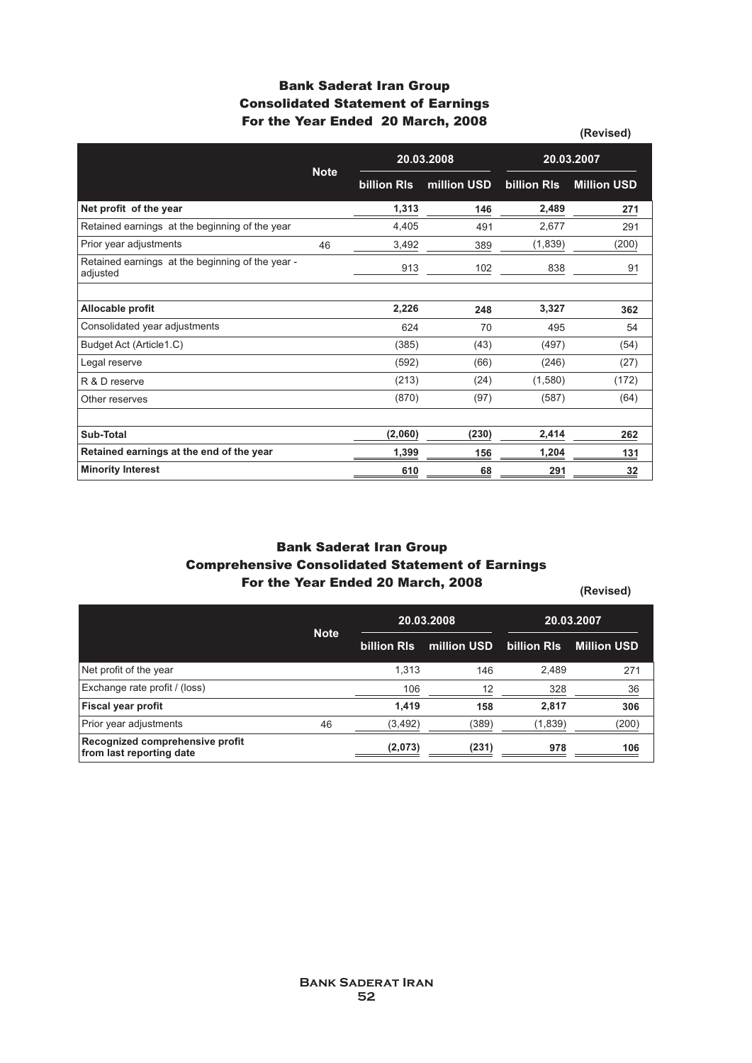### **Bank Saderat Iran Group Consolidated Statement of Earnings For the Year Ended 20 March, 2008**

|                                                              |             |             |             |             | (Revised)          |
|--------------------------------------------------------------|-------------|-------------|-------------|-------------|--------------------|
|                                                              |             | 20.03.2008  |             | 20.03.2007  |                    |
|                                                              | <b>Note</b> | billion RIs | million USD | billion RIs | <b>Million USD</b> |
| Net profit of the year                                       |             | 1,313       | 146         | 2,489       | 271                |
| Retained earnings at the beginning of the year               |             | 4,405       | 491         | 2,677       | 291                |
| Prior year adjustments                                       | 46          | 3,492       | 389         | (1,839)     | (200)              |
| Retained earnings at the beginning of the year -<br>adjusted |             | 913         | 102         | 838         | 91                 |
|                                                              |             |             |             |             |                    |
| Allocable profit                                             |             | 2,226       | 248         | 3,327       | 362                |
| Consolidated year adjustments                                |             | 624         | 70          | 495         | 54                 |
| Budget Act (Article1.C)                                      |             | (385)       | (43)        | (497)       | (54)               |
| Legal reserve                                                |             | (592)       | (66)        | (246)       | (27)               |
| R & D reserve                                                |             | (213)       | (24)        | (1,580)     | (172)              |
| Other reserves                                               |             | (870)       | (97)        | (587)       | (64)               |
|                                                              |             |             |             |             |                    |
| Sub-Total                                                    |             | (2,060)     | (230)       | 2,414       | 262                |
| Retained earnings at the end of the year                     |             | 1,399       | 156         | 1,204       | 131                |
| <b>Minority Interest</b>                                     |             | 610         | 68          | 291         | 32                 |

### **Bank Saderat Iran Group Comprehensive Consolidated Statement of Earnings For the Year Ended 20 March, 2008**

**(Revised)**

|                                                             | <b>Note</b> | 20.03.2008  |             |             | 20.03.2007         |
|-------------------------------------------------------------|-------------|-------------|-------------|-------------|--------------------|
|                                                             |             | billion RIs | million USD | billion RIs | <b>Million USD</b> |
| Net profit of the year                                      |             | 1.313       | 146         | 2,489       | 271                |
| Exchange rate profit / (loss)                               |             | 106         | 12          | 328         | 36                 |
| <b>Fiscal year profit</b>                                   |             | 1.419       | 158         | 2,817       | 306                |
| Prior year adjustments                                      | 46          | (3, 492)    | (389)       | (1,839)     | (200)              |
| Recognized comprehensive profit<br>from last reporting date |             | (2,073)     | (231)       | 978         | 106                |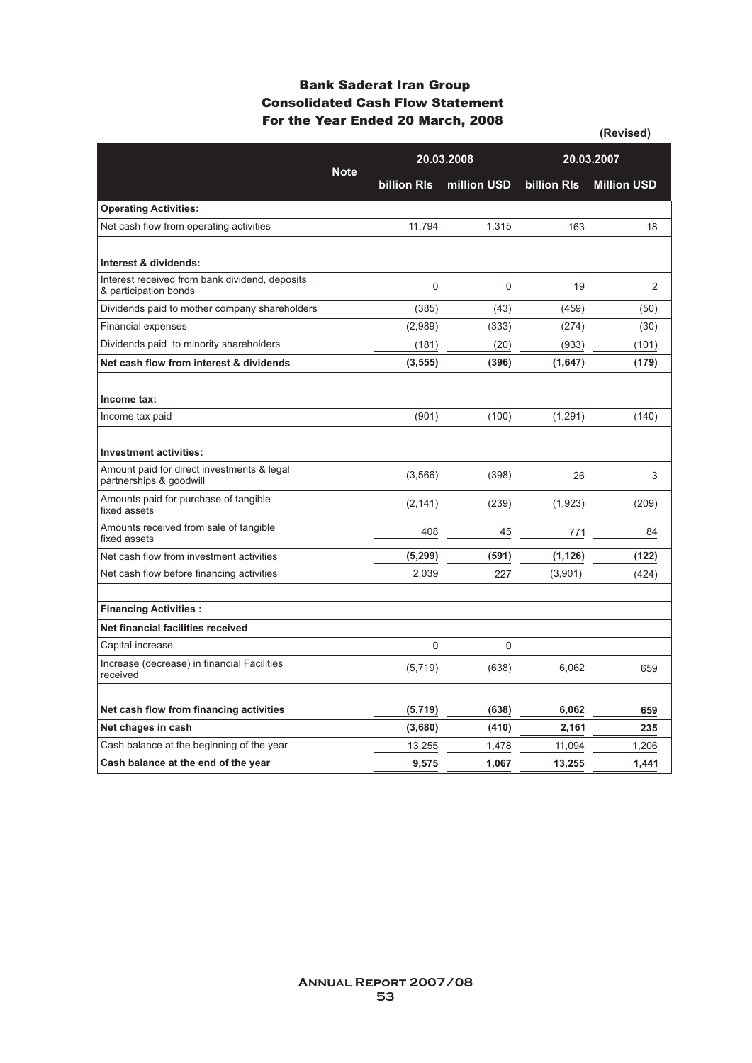### **Consolidated Cash Flow Statement For the Year Ended 20 March, 2008 Bank Saderat Iran Group**

|                                                                         | <b>Note</b> | 20.03.2008         |             |                    | 20.03.2007         |
|-------------------------------------------------------------------------|-------------|--------------------|-------------|--------------------|--------------------|
|                                                                         |             | <b>billion RIs</b> | million USD | <b>billion RIs</b> | <b>Million USD</b> |
| <b>Operating Activities:</b>                                            |             |                    |             |                    |                    |
| Net cash flow from operating activities                                 |             | 11,794             | 1,315       | 163                | 18                 |
|                                                                         |             |                    |             |                    |                    |
| Interest & dividends:                                                   |             |                    |             |                    |                    |
| Interest received from bank dividend, deposits<br>& participation bonds |             | $\Omega$           | $\Omega$    | 19                 | $\overline{2}$     |
| Dividends paid to mother company shareholders                           |             | (385)              | (43)        | (459)              | (50)               |
| <b>Financial expenses</b>                                               |             | (2,989)            | (333)       | (274)              | (30)               |
| Dividends paid to minority shareholders                                 |             | (181)              | (20)        | (933)              | (101)              |
| Net cash flow from interest & dividends                                 |             | (3, 555)           | (396)       | (1,647)            | (179)              |
|                                                                         |             |                    |             |                    |                    |
| Income tax:                                                             |             |                    |             |                    |                    |
| Income tax paid                                                         |             | (901)              | (100)       | (1, 291)           | (140)              |
|                                                                         |             |                    |             |                    |                    |
| <b>Investment activities:</b>                                           |             |                    |             |                    |                    |
| Amount paid for direct investments & legal<br>partnerships & goodwill   |             | (3,566)            | (398)       | 26                 | 3                  |
| Amounts paid for purchase of tangible<br>fixed assets                   |             | (2, 141)           | (239)       | (1,923)            | (209)              |
| Amounts received from sale of tangible<br>fixed assets                  |             | 408                | 45          | 771                | 84                 |
| Net cash flow from investment activities                                |             | (5, 299)           | (591)       | (1, 126)           | (122)              |
| Net cash flow before financing activities                               |             | 2,039              | 227         | (3,901)            | (424)              |
|                                                                         |             |                    |             |                    |                    |
| <b>Financing Activities:</b>                                            |             |                    |             |                    |                    |
| Net financial facilities received                                       |             |                    |             |                    |                    |
| Capital increase                                                        |             | 0                  | $\mathbf 0$ |                    |                    |
| Increase (decrease) in financial Facilities<br>received                 |             | (5,719)            | (638)       | 6,062              | 659                |
|                                                                         |             |                    |             |                    |                    |
| Net cash flow from financing activities                                 |             | (5, 719)           | (638)       | 6,062              | 659                |
| Net chages in cash                                                      |             | (3,680)            | (410)       | 2.161              | 235                |
| Cash balance at the beginning of the year                               |             | 13,255             | 1,478       | 11,094             | 1,206              |
| Cash balance at the end of the year                                     |             | 9,575              | 1,067       | 13,255             | 1,441              |

**(Revised)**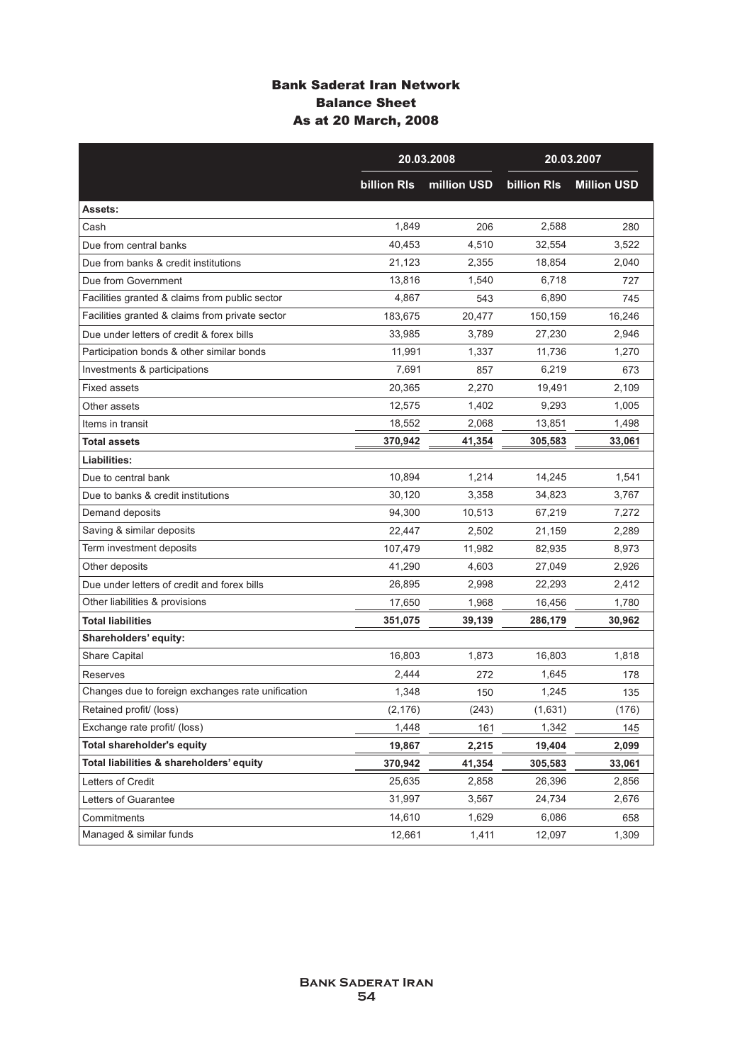### **Bank Saderat Iran Network Balance Sheet As at 20 March, 2008**

|                                                   | 20.03.2008         |             |                    | 20.03.2007         |
|---------------------------------------------------|--------------------|-------------|--------------------|--------------------|
|                                                   | <b>billion RIs</b> | million USD | <b>billion RIs</b> | <b>Million USD</b> |
| Assets:                                           |                    |             |                    |                    |
| Cash                                              | 1,849              | 206         | 2,588              | 280                |
| Due from central banks                            | 40,453             | 4,510       | 32,554             | 3,522              |
| Due from banks & credit institutions              | 21,123             | 2,355       | 18,854             | 2,040              |
| Due from Government                               | 13,816             | 1,540       | 6,718              | 727                |
| Facilities granted & claims from public sector    | 4,867              | 543         | 6,890              | 745                |
| Facilities granted & claims from private sector   | 183,675            | 20,477      | 150,159            | 16,246             |
| Due under letters of credit & forex bills         | 33,985             | 3,789       | 27,230             | 2,946              |
| Participation bonds & other similar bonds         | 11,991             | 1,337       | 11,736             | 1,270              |
| Investments & participations                      | 7,691              | 857         | 6,219              | 673                |
| <b>Fixed assets</b>                               | 20,365             | 2,270       | 19,491             | 2,109              |
| Other assets                                      | 12,575             | 1,402       | 9,293              | 1,005              |
| Items in transit                                  | 18,552             | 2,068       | 13,851             | 1,498              |
| <b>Total assets</b>                               | 370,942            | 41,354      | 305,583            | 33,061             |
| Liabilities:                                      |                    |             |                    |                    |
| Due to central bank                               | 10,894             | 1,214       | 14,245             | 1,541              |
| Due to banks & credit institutions                | 30,120             | 3,358       | 34,823             | 3,767              |
| Demand deposits                                   | 94,300             | 10,513      | 67,219             | 7,272              |
| Saving & similar deposits                         | 22,447             | 2,502       | 21,159             | 2,289              |
| Term investment deposits                          | 107,479            | 11,982      | 82,935             | 8,973              |
| Other deposits                                    | 41,290             | 4,603       | 27,049             | 2,926              |
| Due under letters of credit and forex bills       | 26,895             | 2,998       | 22,293             | 2,412              |
| Other liabilities & provisions                    | 17,650             | 1,968       | 16,456             | 1,780              |
| <b>Total liabilities</b>                          | 351,075            | 39,139      | 286,179            | 30,962             |
| Shareholders' equity:                             |                    |             |                    |                    |
| <b>Share Capital</b>                              | 16,803             | 1,873       | 16,803             | 1,818              |
| Reserves                                          | 2,444              | 272         | 1,645              | 178                |
| Changes due to foreign exchanges rate unification | 1,348              | 150         | 1,245              | 135                |
| Retained profit/ (loss)                           | (2, 176)           | (243)       | (1,631)            | (176)              |
| Exchange rate profit/ (loss)                      | 1,448              | 161         | 1,342              | 145                |
| <b>Total shareholder's equity</b>                 | 19,867             | 2,215       | 19,404             | 2,099              |
| Total liabilities & shareholders' equity          | 370,942            | 41,354      | 305,583            | 33,061             |
| Letters of Credit                                 | 25,635             | 2,858       | 26,396             | 2,856              |
| Letters of Guarantee                              | 31,997             | 3,567       | 24,734             | 2,676              |
| Commitments                                       | 14,610             | 1,629       | 6,086              | 658                |
| Managed & similar funds                           | 12,661             | 1,411       | 12,097             | 1,309              |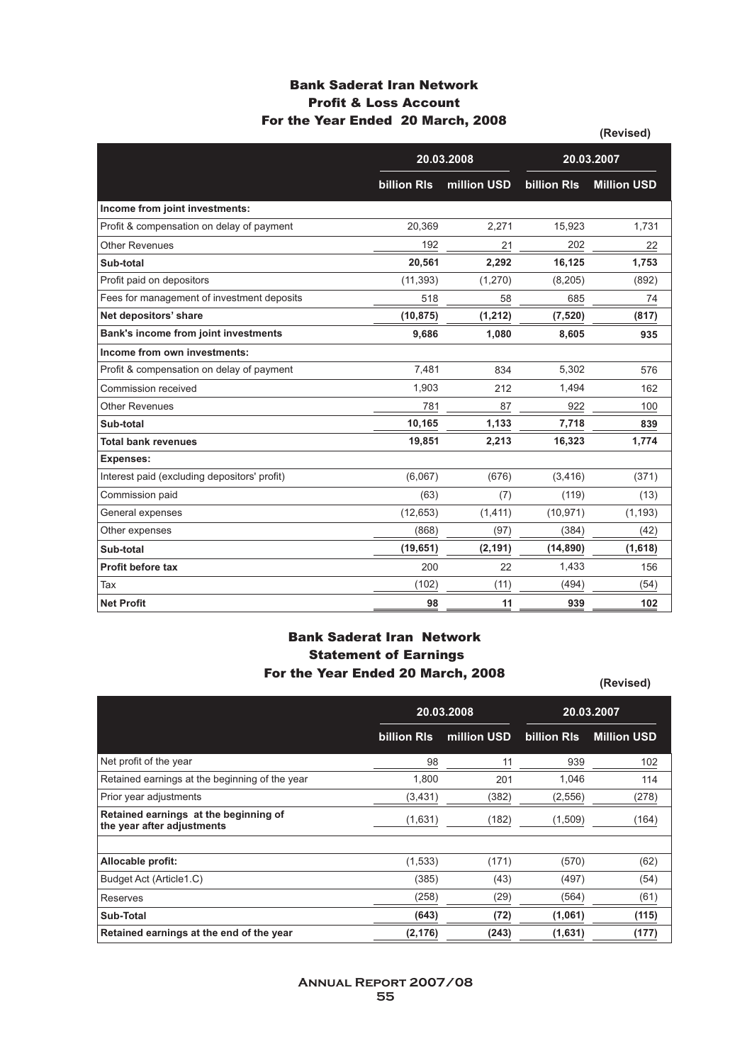### **Bank Saderat Iran Network Profit & Loss Account For the Year Ended 20 March, 2008**

|                                              |             |             |                    | (Revised)          |
|----------------------------------------------|-------------|-------------|--------------------|--------------------|
|                                              |             | 20.03.2008  |                    | 20.03.2007         |
|                                              | billion RIs | million USD | <b>billion RIs</b> | <b>Million USD</b> |
| Income from joint investments:               |             |             |                    |                    |
| Profit & compensation on delay of payment    | 20,369      | 2,271       | 15,923             | 1,731              |
| <b>Other Revenues</b>                        | 192         | 21          | 202                | 22                 |
| Sub-total                                    | 20,561      | 2,292       | 16,125             | 1,753              |
| Profit paid on depositors                    | (11, 393)   | (1,270)     | (8, 205)           | (892)              |
| Fees for management of investment deposits   | 518         | 58          | 685                | 74                 |
| Net depositors' share                        | (10, 875)   | (1, 212)    | (7, 520)           | (817)              |
| Bank's income from joint investments         | 9,686       | 1,080       | 8,605              | 935                |
| Income from own investments:                 |             |             |                    |                    |
| Profit & compensation on delay of payment    | 7,481       | 834         | 5,302              | 576                |
| Commission received                          | 1,903       | 212         | 1,494              | 162                |
| <b>Other Revenues</b>                        | 781         | 87          | 922                | 100                |
| Sub-total                                    | 10,165      | 1,133       | 7,718              | 839                |
| <b>Total bank revenues</b>                   | 19,851      | 2,213       | 16,323             | 1,774              |
| <b>Expenses:</b>                             |             |             |                    |                    |
| Interest paid (excluding depositors' profit) | (6,067)     | (676)       | (3, 416)           | (371)              |
| Commission paid                              | (63)        | (7)         | (119)              | (13)               |
| General expenses                             | (12, 653)   | (1, 411)    | (10, 971)          | (1, 193)           |
| Other expenses                               | (868)       | (97)        | (384)              | (42)               |
| Sub-total                                    | (19, 651)   | (2, 191)    | (14, 890)          | (1,618)            |
| <b>Profit before tax</b>                     | 200         | 22          | 1,433              | 156                |
| Tax                                          | (102)       | (11)        | (494)              | (54)               |
| <b>Net Profit</b>                            | 98          | 11          | 939                | 102                |

### **Bank Saderat Iran Network Statement of Earnings For the Year Ended 20 March, 2008**

**(Revised)**

**20.03.2008 20.03.2007 billion Rls million USD billion Rls Million USD** Net profit of the year Retained earnings at the beginning of the year Prior year adjustments **Retained earnings at the beginning of the year after adjustments Allocable profit:** Budget Act (Article1.C) Reserves **Sub-Total Retained earnings at the end of the year** 11 201 (382) (171) (43) (29) **(72) (243)** 98 1,800 (3,431) (1,533) (385) (258) **(643) (2,176)** 102 114 (278) (62) (54) (61) **(115) (177)** 939 1,046 (2,556) (570) (497) (564) **(1,061) (1,631)** (1,631) (182) (1,509) (164)

> **Annual Report 2007/08 55**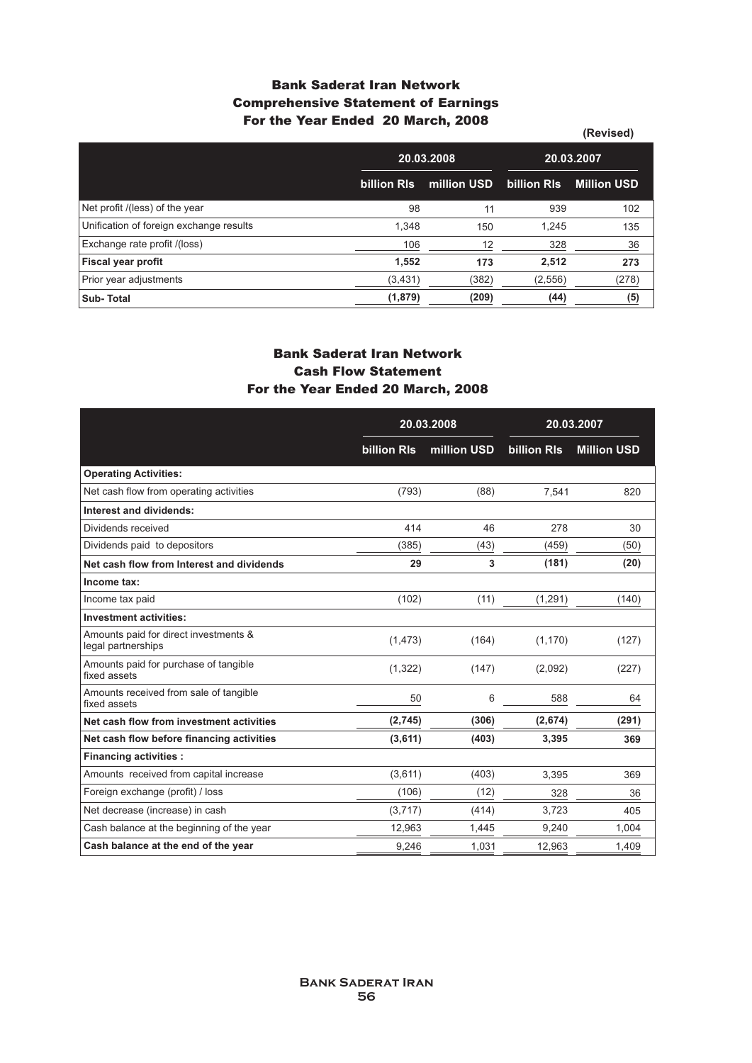### **Bank Saderat Iran Network Comprehensive Statement of Earnings For the Year Ended 20 March, 2008**

|                                         |             |             |             | (Revised)          |
|-----------------------------------------|-------------|-------------|-------------|--------------------|
|                                         | 20.03.2008  |             | 20.03.2007  |                    |
|                                         | billion RIs | million USD | billion RIs | <b>Million USD</b> |
| Net profit /(less) of the year          | 98          | 11          | 939         | 102                |
| Unification of foreign exchange results | 1,348       | 150         | 1,245       | 135                |
| Exchange rate profit /(loss)            | 106         | 12          | 328         | 36                 |
| <b>Fiscal year profit</b>               | 1,552       | 173         | 2,512       | 273                |
| Prior year adjustments                  | (3, 431)    | (382)       | (2,556)     | (278)              |
| <b>Sub-Total</b>                        | (1,879)     | (209)       | (44)        | (5)                |

### **Bank Saderat Iran Network Cash Flow Statement For the Year Ended 20 March, 2008**

|                                                             | 20.03.2008         |             |             | 20.03.2007         |
|-------------------------------------------------------------|--------------------|-------------|-------------|--------------------|
|                                                             | <b>billion RIs</b> | million USD | billion RIs | <b>Million USD</b> |
| <b>Operating Activities:</b>                                |                    |             |             |                    |
| Net cash flow from operating activities                     | (793)              | (88)        | 7.541       | 820                |
| Interest and dividends:                                     |                    |             |             |                    |
| Dividends received                                          | 414                | 46          | 278         | 30                 |
| Dividends paid to depositors                                | (385)              | (43)        | (459)       | (50)               |
| Net cash flow from Interest and dividends                   | 29                 | 3           | (181)       | (20)               |
| Income tax:                                                 |                    |             |             |                    |
| Income tax paid                                             | (102)              | (11)        | (1, 291)    | (140)              |
| <b>Investment activities:</b>                               |                    |             |             |                    |
| Amounts paid for direct investments &<br>legal partnerships | (1, 473)           | (164)       | (1, 170)    | (127)              |
| Amounts paid for purchase of tangible<br>fixed assets       | (1, 322)           | (147)       | (2,092)     | (227)              |
| Amounts received from sale of tangible<br>fixed assets      | 50                 | 6           | 588         | 64                 |
| Net cash flow from investment activities                    | (2,745)            | (306)       | (2,674)     | (291)              |
| Net cash flow before financing activities                   | (3,611)            | (403)       | 3,395       | 369                |
| <b>Financing activities:</b>                                |                    |             |             |                    |
| Amounts received from capital increase                      | (3,611)            | (403)       | 3,395       | 369                |
| Foreign exchange (profit) / loss                            | (106)              | (12)        | 328         | 36                 |
| Net decrease (increase) in cash                             | (3,717)            | (414)       | 3,723       | 405                |
| Cash balance at the beginning of the year                   | 12,963             | 1,445       | 9,240       | 1,004              |
| Cash balance at the end of the year                         | 9,246              | 1,031       | 12,963      | 1,409              |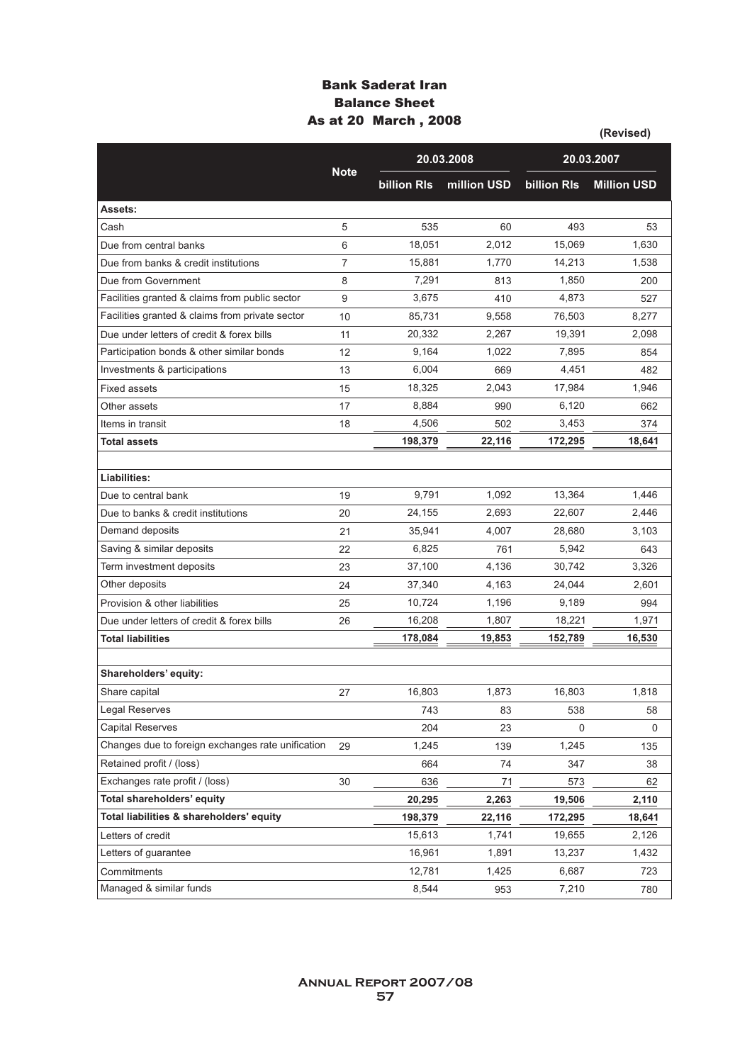### **Bank Saderat Iran Balance Sheet As at 20 March , 2008**

|                                                   |                |                    |             |                    | (Revised)          |
|---------------------------------------------------|----------------|--------------------|-------------|--------------------|--------------------|
|                                                   |                |                    | 20.03.2008  |                    | 20.03.2007         |
|                                                   | <b>Note</b>    | <b>billion RIs</b> | million USD | <b>billion RIs</b> | <b>Million USD</b> |
| Assets:                                           |                |                    |             |                    |                    |
| Cash                                              | 5              | 535                | 60          | 493                | 53                 |
| Due from central banks                            | 6              | 18,051             | 2,012       | 15,069             | 1,630              |
| Due from banks & credit institutions              | $\overline{7}$ | 15,881             | 1.770       | 14,213             | 1,538              |
| Due from Government                               | 8              | 7,291              | 813         | 1,850              | 200                |
| Facilities granted & claims from public sector    | 9              | 3,675              | 410         | 4,873              | 527                |
| Facilities granted & claims from private sector   | 10             | 85,731             | 9,558       | 76,503             | 8,277              |
| Due under letters of credit & forex bills         | 11             | 20,332             | 2,267       | 19,391             | 2,098              |
| Participation bonds & other similar bonds         | 12             | 9,164              | 1,022       | 7,895              | 854                |
| Investments & participations                      | 13             | 6,004              | 669         | 4,451              | 482                |
| <b>Fixed assets</b>                               | 15             | 18,325             | 2,043       | 17,984             | 1,946              |
| Other assets                                      | 17             | 8,884              | 990         | 6,120              | 662                |
| Items in transit                                  | 18             | 4.506              | 502         | 3,453              | 374                |
| <b>Total assets</b>                               |                | 198,379            | 22,116      | 172,295            | 18,641             |
|                                                   |                |                    |             |                    |                    |
| Liabilities:                                      |                |                    |             |                    |                    |
| Due to central bank                               | 19             | 9,791              | 1,092       | 13,364             | 1,446              |
| Due to banks & credit institutions                | 20             | 24,155             | 2,693       | 22,607             | 2,446              |
| Demand deposits                                   | 21             | 35,941             | 4,007       | 28,680             | 3,103              |
| Saving & similar deposits                         | 22             | 6,825              | 761         | 5,942              | 643                |
| Term investment deposits                          | 23             | 37,100             | 4,136       | 30,742             | 3,326              |
| Other deposits                                    | 24             | 37,340             | 4,163       | 24,044             | 2,601              |
| Provision & other liabilities                     | 25             | 10,724             | 1,196       | 9,189              | 994                |
| Due under letters of credit & forex bills         | 26             | 16,208             | 1,807       | 18,221             | 1,971              |
| <b>Total liabilities</b>                          |                | 178,084            | 19,853      | 152,789            | 16,530             |
|                                                   |                |                    |             |                    |                    |
| Shareholders' equity:                             |                |                    |             |                    |                    |
| Share capital                                     | 27             | 16,803             | 1,873       | 16,803             | 1,818              |
| <b>Legal Reserves</b>                             |                | 743                | 83          | 538                | 58                 |
| <b>Capital Reserves</b>                           |                | 204                | 23          | 0                  | 0                  |
| Changes due to foreign exchanges rate unification | 29             | 1,245              | 139         | 1,245              | 135                |
| Retained profit / (loss)                          |                | 664                | 74          | 347                | 38                 |
| Exchanges rate profit / (loss)                    | 30             | 636                | 71          | 573                | 62                 |
| Total shareholders' equity                        |                | 20,295             | 2,263       | 19,506             | 2,110              |
| Total liabilities & shareholders' equity          |                | 198,379            | 22,116      | 172,295            | 18,641             |
| Letters of credit                                 |                | 15,613             | 1,741       | 19,655             | 2,126              |
| Letters of quarantee                              |                | 16,961             | 1,891       | 13,237             | 1,432              |
| Commitments                                       |                | 12,781             | 1,425       | 6,687              | 723                |
| Managed & similar funds                           |                | 8,544              | 953         | 7,210              | 780                |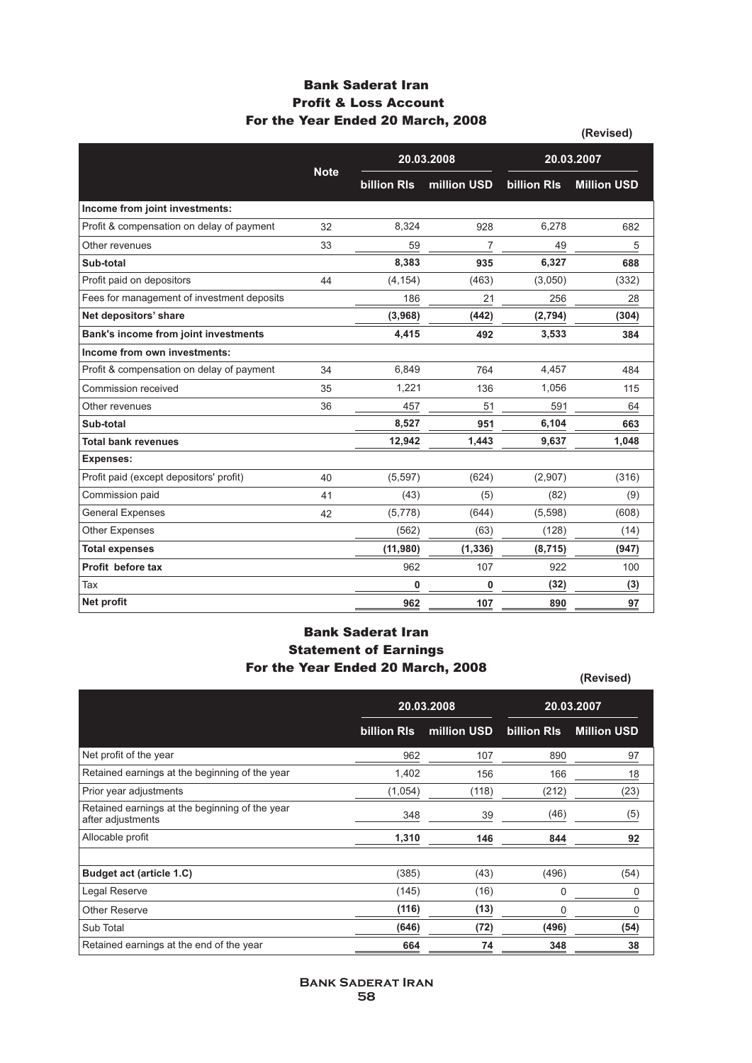### **Bank Saderat Iran Profit & Loss Account For the Year Ended 20 March, 2008**

|                                            |             |                    |             |                    | (Revised)          |
|--------------------------------------------|-------------|--------------------|-------------|--------------------|--------------------|
|                                            |             | 20.03.2008         |             | 20.03.2007         |                    |
|                                            | <b>Note</b> | <b>billion RIs</b> | million USD | <b>billion RIs</b> | <b>Million USD</b> |
| Income from joint investments:             |             |                    |             |                    |                    |
| Profit & compensation on delay of payment  | 32          | 8,324              | 928         | 6,278              | 682                |
| Other revenues                             | 33          | 59                 | 7           | 49                 | 5                  |
| Sub-total                                  |             | 8,383              | 935         | 6,327              | 688                |
| Profit paid on depositors                  | 44          | (4, 154)           | (463)       | (3,050)            | (332)              |
| Fees for management of investment deposits |             | 186                | 21          | 256                | 28                 |
| Net depositors' share                      |             | (3,968)            | (442)       | (2,794)            | (304)              |
| Bank's income from joint investments       |             | 4,415              | 492         | 3,533              | 384                |
| Income from own investments:               |             |                    |             |                    |                    |
| Profit & compensation on delay of payment  | 34          | 6,849              | 764         | 4,457              | 484                |
| Commission received                        | 35          | 1,221              | 136         | 1.056              | 115                |
| Other revenues                             | 36          | 457                | 51          | 591                | 64                 |
| Sub-total                                  |             | 8,527              | 951         | 6,104              | 663                |
| <b>Total bank revenues</b>                 |             | 12,942             | 1,443       | 9,637              | 1,048              |
| <b>Expenses:</b>                           |             |                    |             |                    |                    |
| Profit paid (except depositors' profit)    | 40          | (5, 597)           | (624)       | (2,907)            | (316)              |
| Commission paid                            | 41          | (43)               | (5)         | (82)               | (9)                |
| <b>General Expenses</b>                    | 42          | (5,778)            | (644)       | (5,598)            | (608)              |
| Other Expenses                             |             | (562)              | (63)        | (128)              | (14)               |
| <b>Total expenses</b>                      |             | (11,980)           | (1, 336)    | (8, 715)           | (947)              |
| Profit before tax                          |             | 962                | 107         | 922                | 100                |
| Tax                                        |             | 0                  | 0           | (32)               | (3)                |
| Net profit                                 |             | 962                | 107         | 890                | 97                 |

### **Bank Saderat Iran Statement of Earnings For the Year Ended 20 March, 2008**

| $1.91$ the Teal Enged ZV martin Z000                                |                    |             | (Revised)   |                    |  |
|---------------------------------------------------------------------|--------------------|-------------|-------------|--------------------|--|
|                                                                     |                    | 20.03.2008  |             | 20.03.2007         |  |
|                                                                     | <b>billion RIs</b> | million USD | billion RIs | <b>Million USD</b> |  |
| Net profit of the year                                              | 962                | 107         | 890         | 97                 |  |
| Retained earnings at the beginning of the year                      | 1,402              | 156         | 166         | 18                 |  |
| Prior year adjustments                                              | (1,054)            | (118)       | (212)       | (23)               |  |
| Retained earnings at the beginning of the year<br>after adjustments | 348                | 39          | (46)        | (5)                |  |
| Allocable profit                                                    | 1,310              | 146         | 844         | 92                 |  |
|                                                                     |                    |             |             |                    |  |
| Budget act (article 1.C)                                            | (385)              | (43)        | (496)       | (54)               |  |
| Legal Reserve                                                       | (145)              | (16)        | 0           | 0                  |  |
| <b>Other Reserve</b>                                                | (116)              | (13)        | 0           | 0                  |  |
| Sub Total                                                           | (646)              | (72)        | (496)       | (54)               |  |
| Retained earnings at the end of the year                            | 664                | 74          | 348         | 38                 |  |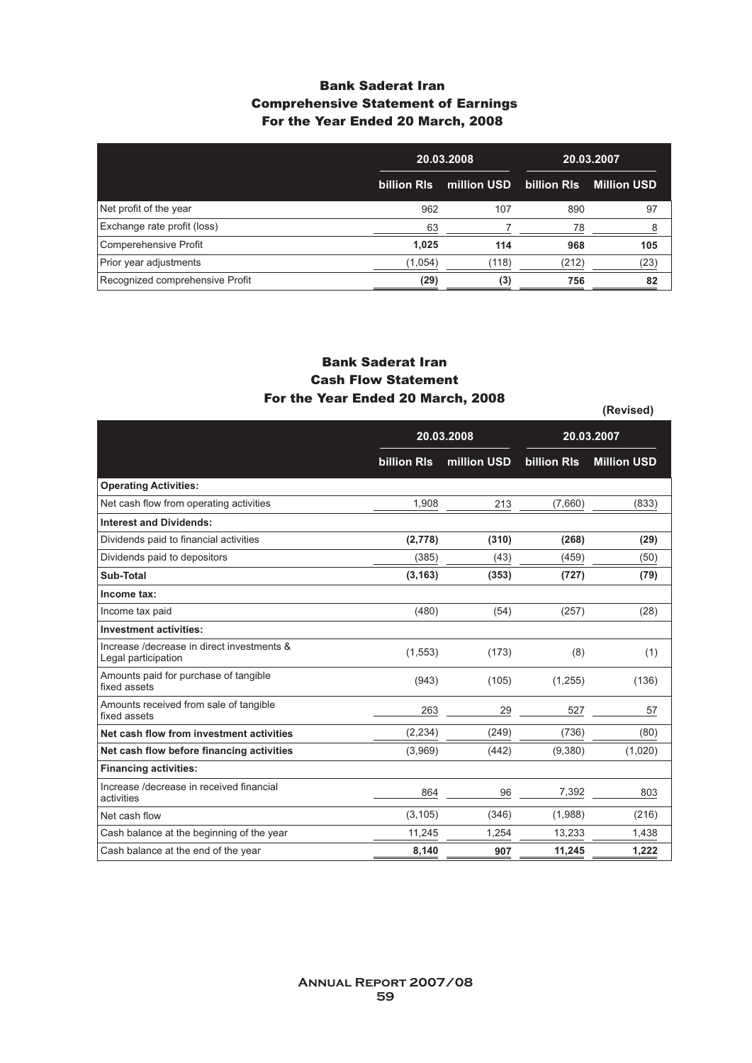### **Bank Saderat Iran Comprehensive Statement of Earnings For the Year Ended 20 March, 2008**

|                                 | 20.03.2008<br>billion RIs<br>million USD |       | 20.03.2007  |                    |
|---------------------------------|------------------------------------------|-------|-------------|--------------------|
|                                 |                                          |       | billion RIs | <b>Million USD</b> |
| Net profit of the year          | 962                                      | 107   | 890         | 97                 |
| Exchange rate profit (loss)     | 63                                       |       | 78          | 8                  |
| Comperehensive Profit           | 1,025                                    | 114   | 968         | 105                |
| Prior year adjustments          | (1,054)                                  | (118) | (212)       | (23)               |
| Recognized comprehensive Profit | (29)                                     | (3)   | 756         | 82                 |

#### **Bank Saderat Iran Cash Flow Statement For the Year Ended 20 March, 2008**

**(Revised)**

**20.03.2008 20.03.2007 billion Rls million USD billion Rls Million USD Operating Activities:** Net cash flow from operating activities **Interest and Dividends:** Dividends paid to financial activities Dividends paid to depositors **Sub-Total Income tax:** Income tax paid **Investment activities:** Increase /decrease in direct investments & Legal participation Amounts paid for purchase of tangible fixed assets Amounts received from sale of tangible fixed assets **Net cash flow from investment activities Net cash flow before financing activities Financing activities:** Increase /decrease in received financial activities Net cash flow Cash balance at the beginning of the year Cash balance at the end of the year 213 **(310)** (43) **(353)** (54) (173) (105) 29 (249) (442) 96 (346) 1,254 **907** 1,908 **(2,778)** (385) **(3,163)** (480) (1,553) (943) 263 (2,234) (3,969) 864 (3,105) 11,245 **8,140** (833) **(29)** (50) **(79)** (28) (1) (136) 57 (80) (1,020) 803 (216) 1,438 **1,222** (7,660) **(268)** (459) **(727)** (257) (8) (1,255) 527 (736) (9,380) 7,392 (1,988) 13,233 **11,245**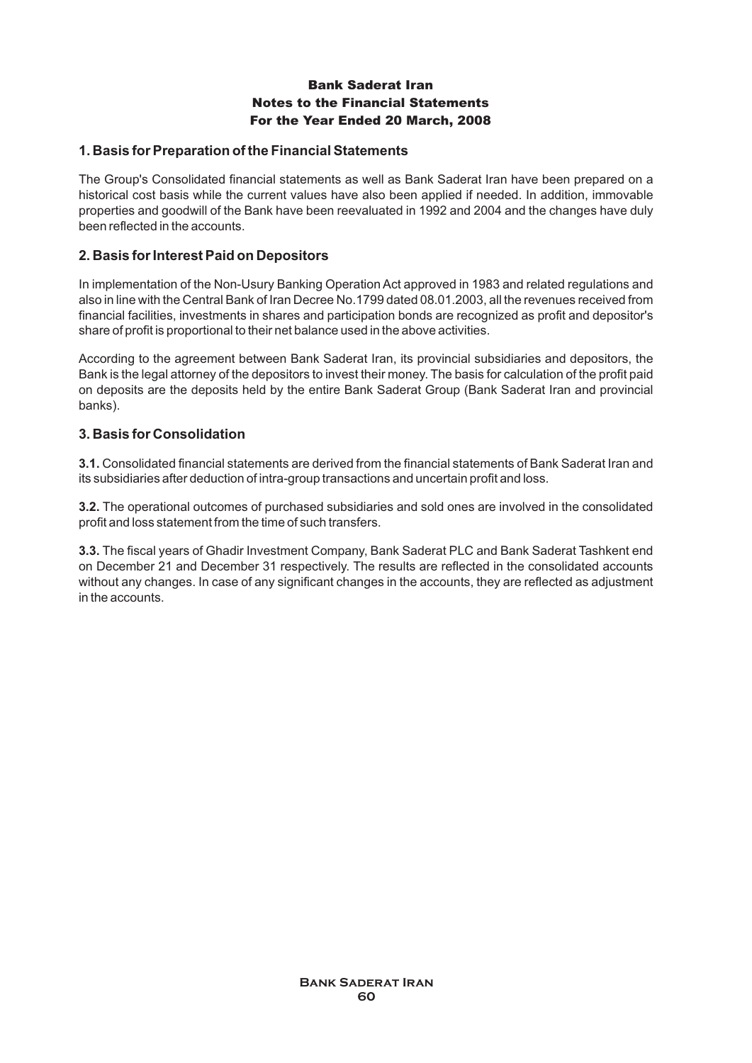### **1. Basis for Preparation of the Financial Statements**

The Group's Consolidated financial statements as well as Bank Saderat Iran have been prepared on a historical cost basis while the current values have also been applied if needed. In addition, immovable properties and goodwill of the Bank have been reevaluated in 1992 and 2004 and the changes have duly been reflected in the accounts.

### **2. Basis for Interest Paid on Depositors**

In implementation of the Non-Usury Banking Operation Act approved in 1983 and related regulations and also in line with the Central Bank of Iran Decree No.1799 dated 08.01.2003, all the revenues received from financial facilities, investments in shares and participation bonds are recognized as profit and depositor's share of profit is proportional to their net balance used in the above activities.

According to the agreement between Bank Saderat Iran, its provincial subsidiaries and depositors, the Bank is the legal attorney of the depositors to invest their money. The basis for calculation of the profit paid on deposits are the deposits held by the entire Bank Saderat Group (Bank Saderat Iran and provincial banks).

### **3. Basis for Consolidation**

**3.1.** Consolidated financial statements are derived from the financial statements of Bank Saderat Iran and its subsidiaries after deduction of intra-group transactions and uncertain profit and loss.

**3.2.** The operational outcomes of purchased subsidiaries and sold ones are involved in the consolidated profit and loss statement from the time of such transfers.

**3.3.** The fiscal years of Ghadir Investment Company, Bank Saderat PLC and Bank Saderat Tashkent end on December 21 and December 31 respectively. The results are reflected in the consolidated accounts without any changes. In case of any significant changes in the accounts, they are reflected as adjustment in the accounts.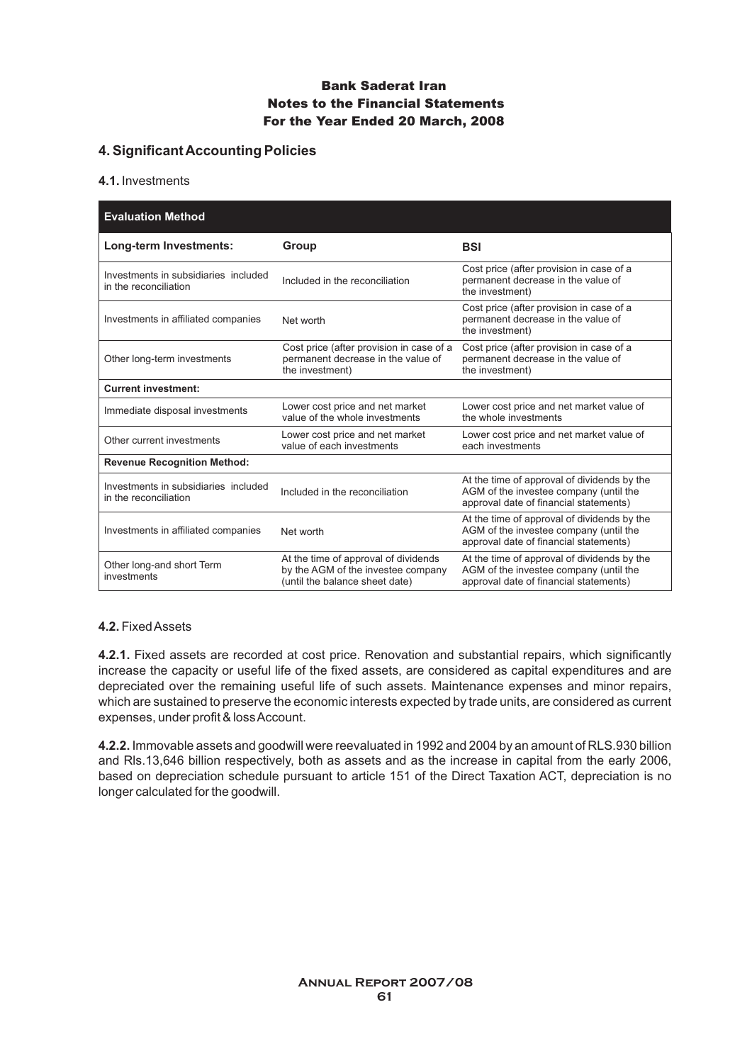### **4. Significant Accounting Policies**

#### **4.1.**Investments

| <b>Evaluation Method</b>                                      |                                                                                                              |                                                                                                                                 |
|---------------------------------------------------------------|--------------------------------------------------------------------------------------------------------------|---------------------------------------------------------------------------------------------------------------------------------|
| Long-term Investments:                                        | Group                                                                                                        | <b>BSI</b>                                                                                                                      |
| Investments in subsidiaries included<br>in the reconciliation | Included in the reconciliation                                                                               | Cost price (after provision in case of a<br>permanent decrease in the value of<br>the investment)                               |
| Investments in affiliated companies                           | Net worth                                                                                                    | Cost price (after provision in case of a<br>permanent decrease in the value of<br>the investment)                               |
| Other long-term investments                                   | Cost price (after provision in case of a<br>permanent decrease in the value of<br>the investment)            | Cost price (after provision in case of a<br>permanent decrease in the value of<br>the investment)                               |
| <b>Current investment:</b>                                    |                                                                                                              |                                                                                                                                 |
| Immediate disposal investments                                | Lower cost price and net market<br>value of the whole investments                                            | Lower cost price and net market value of<br>the whole investments                                                               |
| Other current investments                                     | Lower cost price and net market<br>value of each investments                                                 | Lower cost price and net market value of<br>each investments                                                                    |
| <b>Revenue Recognition Method:</b>                            |                                                                                                              |                                                                                                                                 |
| Investments in subsidiaries included<br>in the reconciliation | Included in the reconciliation                                                                               | At the time of approval of dividends by the<br>AGM of the investee company (until the<br>approval date of financial statements) |
| Investments in affiliated companies                           | Net worth                                                                                                    | At the time of approval of dividends by the<br>AGM of the investee company (until the<br>approval date of financial statements) |
| Other long-and short Term<br>investments                      | At the time of approval of dividends<br>by the AGM of the investee company<br>(until the balance sheet date) | At the time of approval of dividends by the<br>AGM of the investee company (until the<br>approval date of financial statements) |

#### **4.2.** Fixed Assets

**4.2.1.** Fixed assets are recorded at cost price. Renovation and substantial repairs, which significantly increase the capacity or useful life of the fixed assets, are considered as capital expenditures and are depreciated over the remaining useful life of such assets. Maintenance expenses and minor repairs, which are sustained to preserve the economic interests expected by trade units, are considered as current expenses, under profit & loss Account.

**4.2.2.**Immovable assets and goodwill were reevaluated in 1992 and 2004 by an amount of RLS.930 billion and Rls.13,646 billion respectively, both as assets and as the increase in capital from the early 2006, based on depreciation schedule pursuant to article 151 of the Direct Taxation ACT, depreciation is no longer calculated for the goodwill.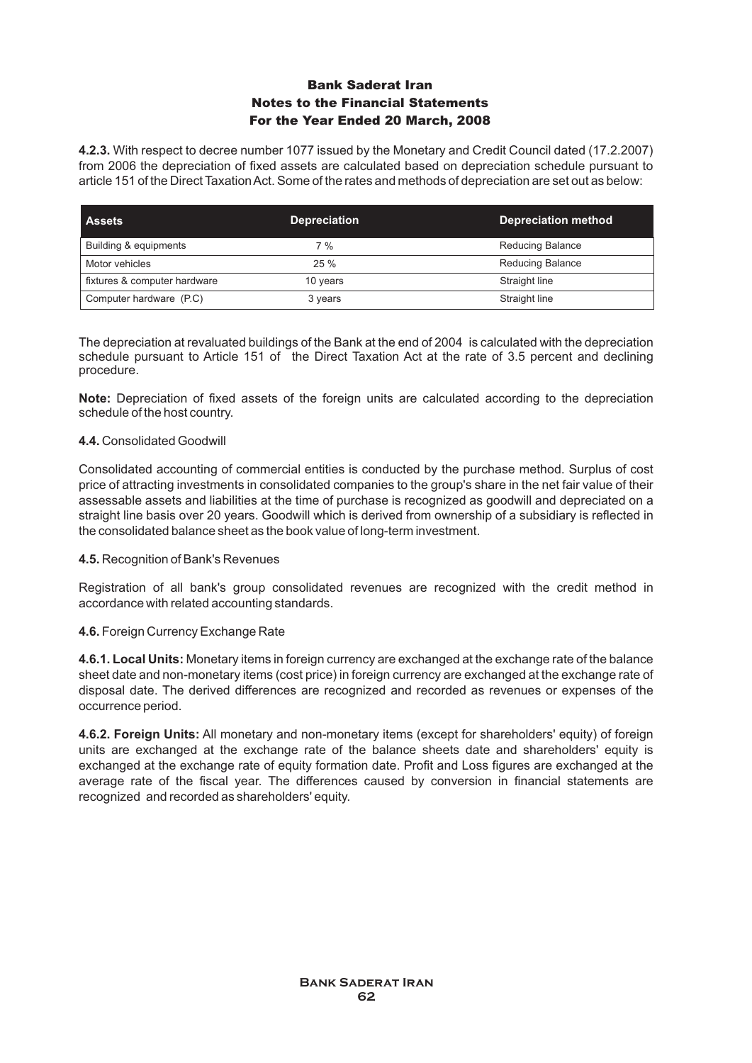**4.2.3.** With respect to decree number 1077 issued by the Monetary and Credit Council dated (17.2.2007) from 2006 the depreciation of fixed assets are calculated based on depreciation schedule pursuant to article 151 of the Direct Taxation Act. Some of the rates and methods of depreciation are set out as below:

| <b>Assets</b>                | <b>Depreciation</b> | <b>Depreciation method</b> |
|------------------------------|---------------------|----------------------------|
| Building & equipments        | 7 %                 | <b>Reducing Balance</b>    |
| Motor vehicles               | 25%                 | <b>Reducing Balance</b>    |
| fixtures & computer hardware | 10 years            | Straight line              |
| Computer hardware (P.C)      | 3 years             | Straight line              |

The depreciation at revaluated buildings of the Bank at the end of 2004 is calculated with the depreciation schedule pursuant to Article 151 of the Direct Taxation Act at the rate of 3.5 percent and declining procedure.

**Note:** Depreciation of fixed assets of the foreign units are calculated according to the depreciation schedule of the host country.

#### **4.4.** Consolidated Goodwill

Consolidated accounting of commercial entities is conducted by the purchase method. Surplus of cost price of attracting investments in consolidated companies to the group's share in the net fair value of their assessable assets and liabilities at the time of purchase is recognized as goodwill and depreciated on a straight line basis over 20 years. Goodwill which is derived from ownership of a subsidiary is reflected in the consolidated balance sheet as the book value of long-term investment.

#### **4.5.** Recognition of Bank's Revenues

Registration of all bank's group consolidated revenues are recognized with the credit method in accordance with related accounting standards.

#### **4.6.** Foreign Currency Exchange Rate

**4.6.1. Local Units:** Monetary items in foreign currency are exchanged at the exchange rate of the balance sheet date and non-monetary items (cost price) in foreign currency are exchanged at the exchange rate of disposal date. The derived differences are recognized and recorded as revenues or expenses of the occurrence period.

**4.6.2. Foreign Units:** All monetary and non-monetary items (except for shareholders' equity) of foreign units are exchanged at the exchange rate of the balance sheets date and shareholders' equity is exchanged at the exchange rate of equity formation date. Profit and Loss figures are exchanged at the average rate of the fiscal year. The differences caused by conversion in financial statements are recognized and recorded as shareholders' equity.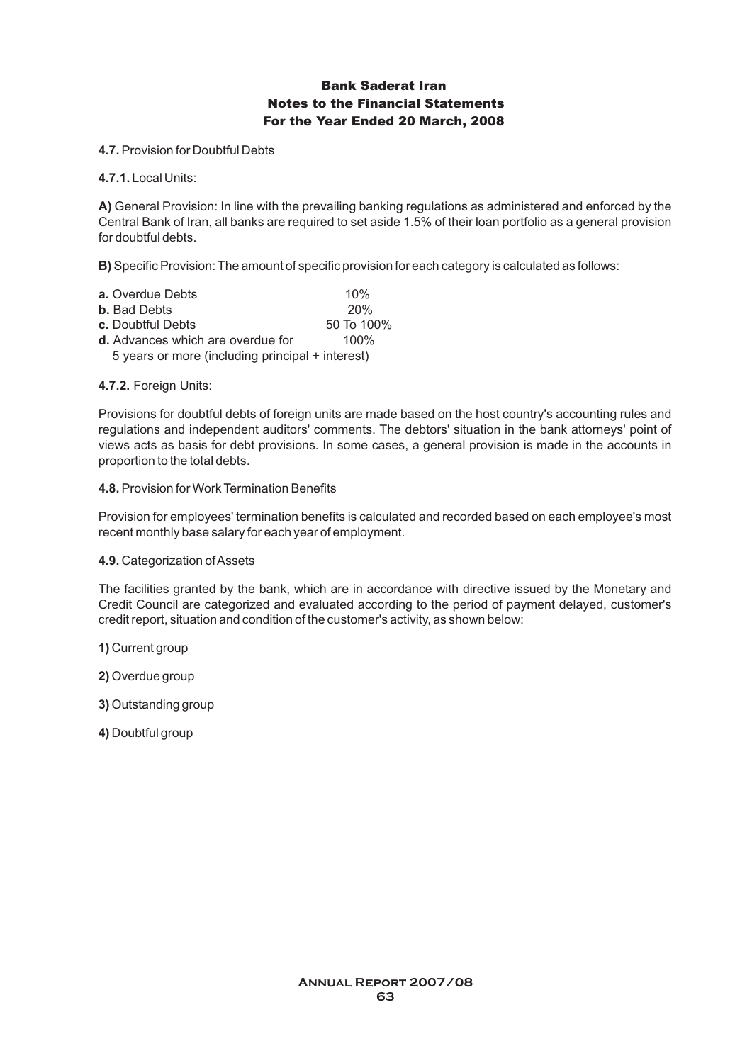**4.7. Provision for Doubtful Debts** 

**4.7.1.**Local Units:

**A)** General Provision: In line with the prevailing banking regulations as administered and enforced by the Central Bank of Iran, all banks are required to set aside 1.5% of their loan portfolio as a general provision for doubtful debts.

**B)** Specific Provision: The amount of specific provision for each category is calculated as follows:

| <b>a.</b> Overdue Debts                          | 10%        |
|--------------------------------------------------|------------|
| <b>b.</b> Bad Debts                              | 20%        |
| c. Doubtful Debts                                | 50 To 100% |
| d. Advances which are overdue for                | $100\%$    |
| 5 years or more (including principal + interest) |            |

#### **4.7.2.** Foreign Units:

Provisions for doubtful debts of foreign units are made based on the host country's accounting rules and regulations and independent auditors' comments. The debtors' situation in the bank attorneys' point of views acts as basis for debt provisions. In some cases, a general provision is made in the accounts in proportion to the total debts.

#### **4.8.** Provision for Work Termination Benefits

Provision for employees' termination benefits is calculated and recorded based on each employee's most recent monthly base salary for each year of employment.

**4.9.** Categorization of Assets

The facilities granted by the bank, which are in accordance with directive issued by the Monetary and Credit Council are categorized and evaluated according to the period of payment delayed, customer's credit report, situation and condition of the customer's activity, as shown below:

**1)** Current group

**2)** Overdue group

**3)** Outstanding group

**4)** Doubtful group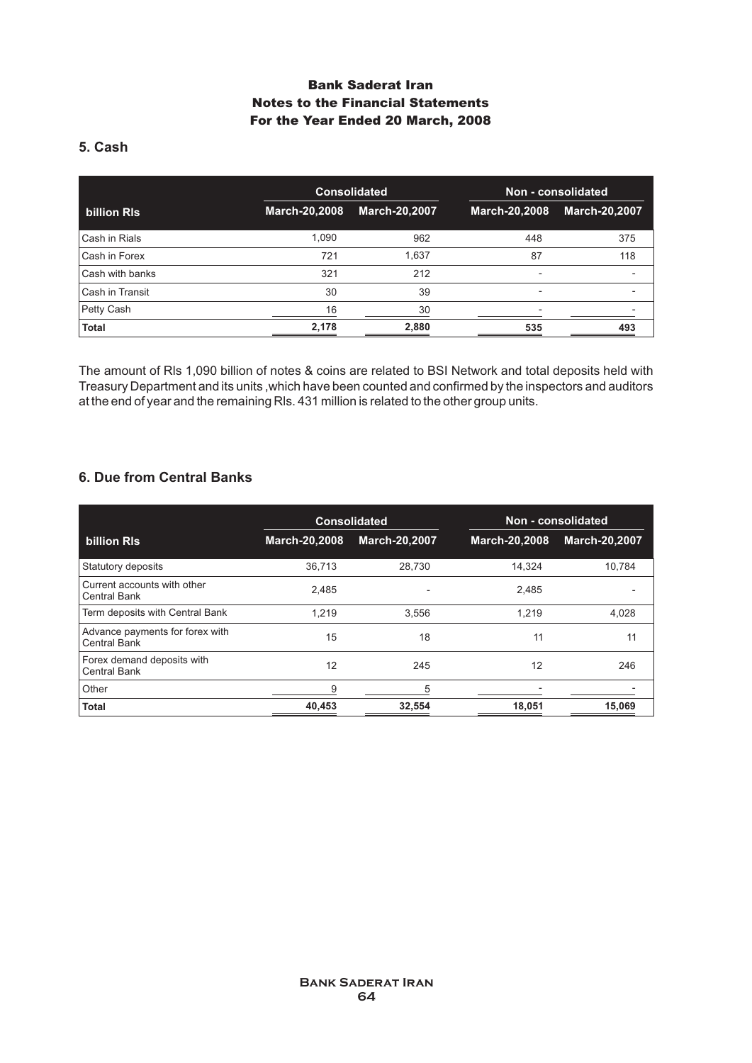# **5. Cash**

|                 |               | <b>Consolidated</b>  |                          | Non - consolidated       |
|-----------------|---------------|----------------------|--------------------------|--------------------------|
| billion RIs     | March-20,2008 | <b>March-20,2007</b> | March-20,2008            | <b>March-20,2007</b>     |
| Cash in Rials   | 1,090         | 962                  | 448                      | 375                      |
| Cash in Forex   | 721           | 1,637                | 87                       | 118                      |
| Cash with banks | 321           | 212                  | $\overline{\phantom{0}}$ | $\overline{\phantom{a}}$ |
| Cash in Transit | 30            | 39                   | ٠                        | -                        |
| Petty Cash      | 16            | 30                   | ۰                        |                          |
| <b>Total</b>    | 2,178         | 2,880                | 535                      | 493                      |

The amount of Rls 1,090 billion of notes & coins are related to BSI Network and total deposits held with Treasury Department and its units ,which have been counted and confirmed by the inspectors and auditors at the end of year and the remaining Rls. 431 million is related to the other group units.

### **6. Due from Central Banks**

|                                                    |                      | <b>Consolidated</b>  |               | Non - consolidated   |  |
|----------------------------------------------------|----------------------|----------------------|---------------|----------------------|--|
| billion RIs                                        | <b>March-20,2008</b> | <b>March-20,2007</b> | March-20,2008 | <b>March-20,2007</b> |  |
| Statutory deposits                                 | 36,713               | 28,730               | 14,324        | 10,784               |  |
| Current accounts with other<br><b>Central Bank</b> | 2.485                |                      | 2.485         |                      |  |
| Term deposits with Central Bank                    | 1.219                | 3.556                | 1.219         | 4.028                |  |
| Advance payments for forex with<br>Central Bank    | 15                   | 18                   | 11            | 11                   |  |
| Forex demand deposits with<br><b>Central Bank</b>  | 12                   | 245                  | 12            | 246                  |  |
| Other                                              | 9                    | 5                    |               |                      |  |
| <b>Total</b>                                       | 40,453               | 32,554               | 18,051        | 15,069               |  |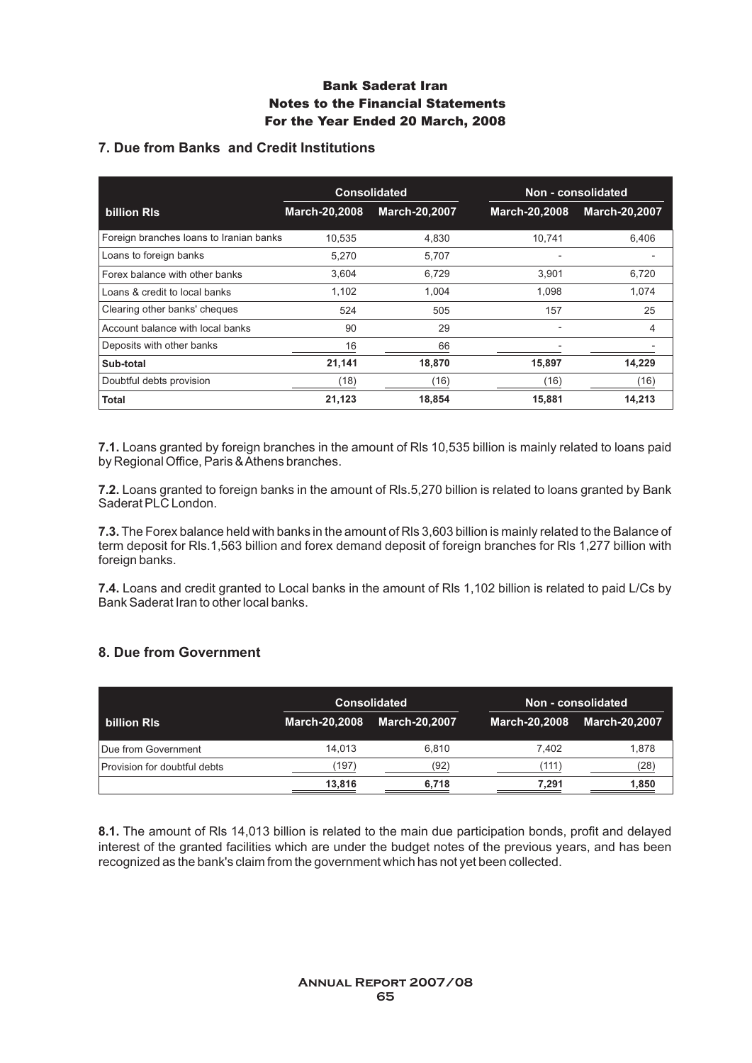### **7. Due from Banks and Credit Institutions**

|                                         | <b>Consolidated</b> |                      | Non - consolidated       |                      |
|-----------------------------------------|---------------------|----------------------|--------------------------|----------------------|
| <b>billion RIs</b>                      | March-20,2008       | <b>March-20,2007</b> | March-20,2008            | <b>March-20,2007</b> |
| Foreign branches loans to Iranian banks | 10.535              | 4,830                | 10,741                   | 6,406                |
| Loans to foreign banks                  | 5,270               | 5,707                |                          |                      |
| Forex balance with other banks          | 3,604               | 6,729                | 3.901                    | 6,720                |
| Loans & credit to local banks           | 1,102               | 1.004                | 1.098                    | 1.074                |
| Clearing other banks' cheques           | 524                 | 505                  | 157                      | 25                   |
| Account balance with local banks        | 90                  | 29                   | -                        | 4                    |
| Deposits with other banks               | 16                  | 66                   | $\overline{\phantom{0}}$ |                      |
| Sub-total                               | 21,141              | 18,870               | 15,897                   | 14,229               |
| Doubtful debts provision                | (18)                | (16)                 | (16)                     | (16)                 |
| Total                                   | 21,123              | 18.854               | 15,881                   | 14,213               |

**7.1.** Loans granted by foreign branches in the amount of Rls 10,535 billion is mainly related to loans paid by Regional Office, Paris & Athens branches.

**7.2.** Loans granted to foreign banks in the amount of Rls.5,270 billion is related to loans granted by Bank Saderat PLC London.

**7.3.** The Forex balance held with banks in the amount of Rls 3,603 billion is mainly related to the Balance of term deposit for Rls.1,563 billion and forex demand deposit of foreign branches for Rls 1,277 billion with foreign banks.

**7.4.** Loans and credit granted to Local banks in the amount of Rls 1,102 billion is related to paid L/Cs by Bank Saderat Iran to other local banks.

### **8. Due from Government**

|                              |               | <b>Consolidated</b>  |               | Non - consolidated   |
|------------------------------|---------------|----------------------|---------------|----------------------|
| billion RIs                  | March-20,2008 | <b>March-20,2007</b> | March-20,2008 | <b>March-20,2007</b> |
| Due from Government          | 14.013        | 6.810                | 7.402         | 1.878                |
| Provision for doubtful debts | (197)         | (92)                 | (111)         | (28)                 |
|                              | 13.816        | 6,718                | 7.291         | 1,850                |

**8.1.** The amount of Rls 14,013 billion is related to the main due participation bonds, profit and delayed interest of the granted facilities which are under the budget notes of the previous years, and has been recognized as the bank's claim from the government which has not yet been collected.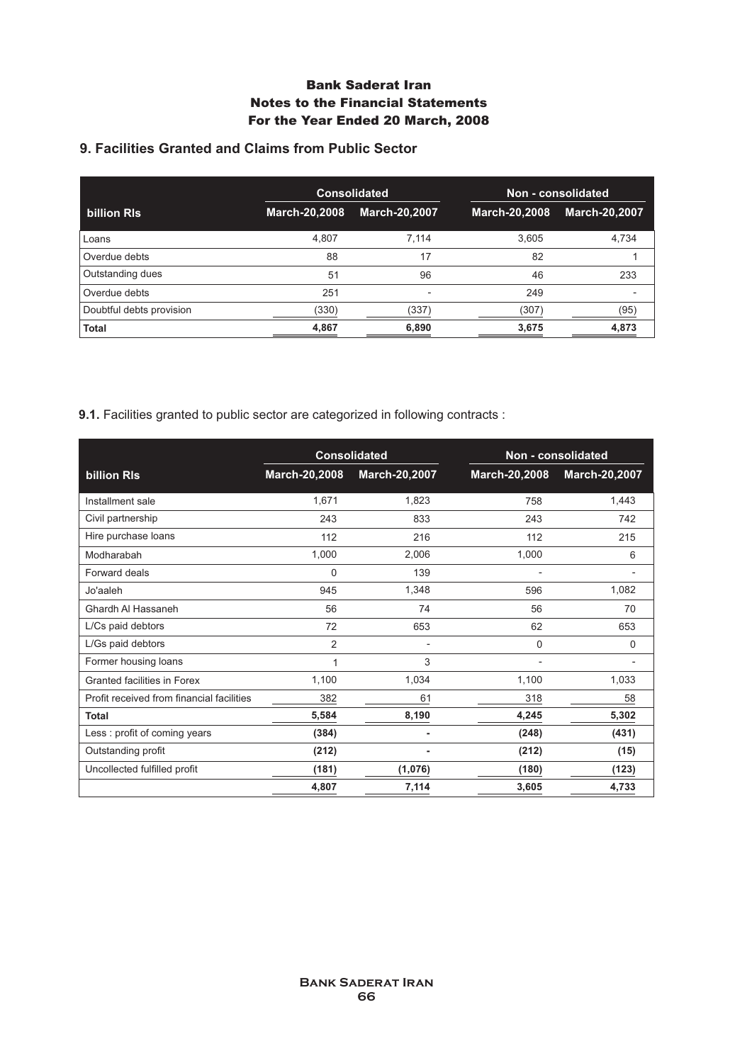# **9. Facilities Granted and Claims from Public Sector**

|                          |               | <b>Consolidated</b>  |               | Non - consolidated   |
|--------------------------|---------------|----------------------|---------------|----------------------|
| billion RIs              | March-20,2008 | <b>March-20,2007</b> | March-20,2008 | <b>March-20,2007</b> |
| Loans                    | 4,807         | 7.114                | 3,605         | 4,734                |
| Overdue debts            | 88            | 17                   | 82            |                      |
| Outstanding dues         | 51            | 96                   | 46            | 233                  |
| Overdue debts            | 251           |                      | 249           |                      |
| Doubtful debts provision | (330)         | (337)                | (307)         | (95)                 |
| <b>Total</b>             | 4,867         | 6,890                | 3,675         | 4,873                |

**9.1.** Facilities granted to public sector are categorized in following contracts :

|                                           |                | <b>Consolidated</b> |               | Non - consolidated |
|-------------------------------------------|----------------|---------------------|---------------|--------------------|
| billion RIs                               | March-20,2008  | March-20,2007       | March-20,2008 | March-20,2007      |
| Installment sale                          | 1,671          | 1,823               | 758           | 1,443              |
| Civil partnership                         | 243            | 833                 | 243           | 742                |
| Hire purchase loans                       | 112            | 216                 | 112           | 215                |
| Modharabah                                | 1,000          | 2,006               | 1,000         | 6                  |
| Forward deals                             | $\mathbf 0$    | 139                 |               |                    |
| Jo'aaleh                                  | 945            | 1,348               | 596           | 1,082              |
| Ghardh Al Hassaneh                        | 56             | 74                  | 56            | 70                 |
| L/Cs paid debtors                         | 72             | 653                 | 62            | 653                |
| L/Gs paid debtors                         | $\overline{2}$ |                     | $\Omega$      | 0                  |
| Former housing loans                      | 1              | 3                   | ٠             | $\blacksquare$     |
| <b>Granted facilities in Forex</b>        | 1,100          | 1,034               | 1,100         | 1,033              |
| Profit received from financial facilities | 382            | 61                  | 318           | 58                 |
| <b>Total</b>                              | 5,584          | 8,190               | 4,245         | 5,302              |
| Less: profit of coming years              | (384)          | ٠                   | (248)         | (431)              |
| Outstanding profit                        | (212)          |                     | (212)         | (15)               |
| Uncollected fulfilled profit              | (181)          | (1,076)             | (180)         | (123)              |
|                                           | 4,807          | 7,114               | 3,605         | 4,733              |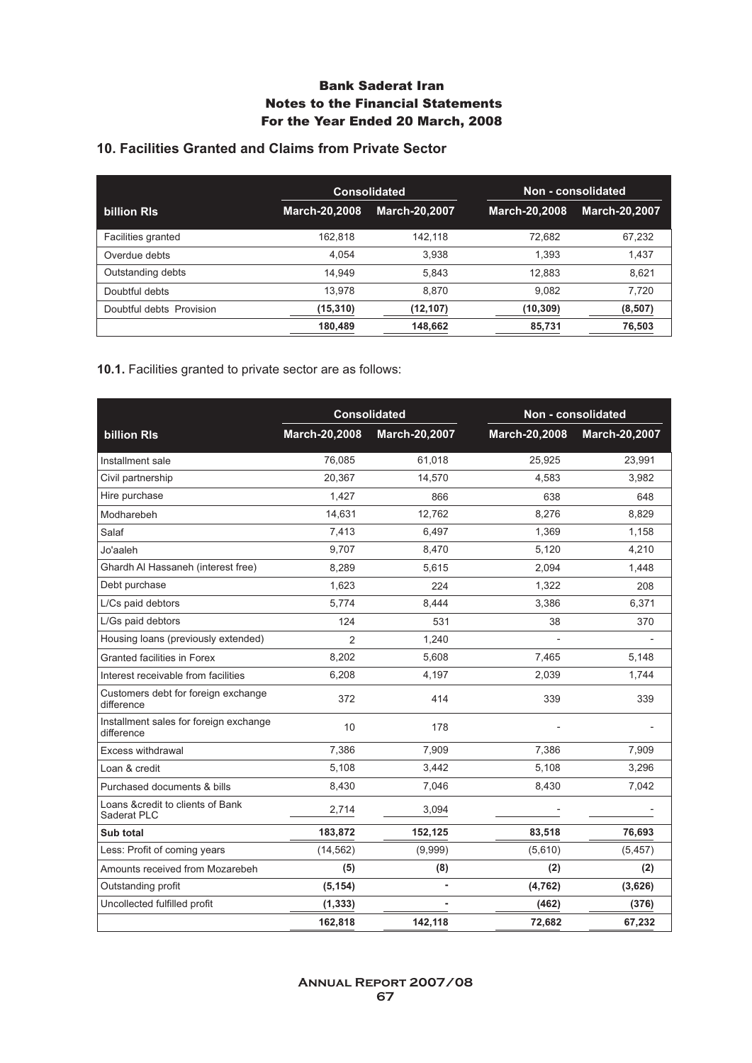# **10. Facilities Granted and Claims from Private Sector**

|                          |                      | <b>Consolidated</b>  |               | Non - consolidated   |
|--------------------------|----------------------|----------------------|---------------|----------------------|
| billion RIs              | <b>March-20,2008</b> | <b>March-20.2007</b> | March-20,2008 | <b>March-20,2007</b> |
| Facilities granted       | 162.818              | 142.118              | 72.682        | 67,232               |
| Overdue debts            | 4,054                | 3,938                | 1.393         | 1,437                |
| Outstanding debts        | 14.949               | 5.843                | 12.883        | 8,621                |
| Doubtful debts           | 13.978               | 8.870                | 9.082         | 7.720                |
| Doubtful debts Provision | (15, 310)            | (12, 107)            | (10, 309)     | (8, 507)             |
|                          | 180.489              | 148.662              | 85.731        | 76.503               |

**10.1.** Facilities granted to private sector are as follows:

|                                                      | <b>Consolidated</b> |               | Non - consolidated |               |
|------------------------------------------------------|---------------------|---------------|--------------------|---------------|
| <b>billion RIs</b>                                   | March-20,2008       | March-20,2007 | March-20,2008      | March-20,2007 |
| Installment sale                                     | 76,085              | 61,018        | 25,925             | 23,991        |
| Civil partnership                                    | 20.367              | 14,570        | 4,583              | 3,982         |
| Hire purchase                                        | 1,427               | 866           | 638                | 648           |
| Modharebeh                                           | 14,631              | 12,762        | 8,276              | 8,829         |
| Salaf                                                | 7,413               | 6,497         | 1,369              | 1,158         |
| Jo'aaleh                                             | 9,707               | 8,470         | 5,120              | 4,210         |
| Ghardh Al Hassaneh (interest free)                   | 8,289               | 5,615         | 2,094              | 1,448         |
| Debt purchase                                        | 1,623               | 224           | 1,322              | 208           |
| L/Cs paid debtors                                    | 5,774               | 8,444         | 3,386              | 6,371         |
| L/Gs paid debtors                                    | 124                 | 531           | 38                 | 370           |
| Housing loans (previously extended)                  | $\overline{2}$      | 1,240         |                    |               |
| Granted facilities in Forex                          | 8,202               | 5.608         | 7,465              | 5,148         |
| Interest receivable from facilities                  | 6,208               | 4,197         | 2,039              | 1,744         |
| Customers debt for foreign exchange<br>difference    | 372                 | 414           | 339                | 339           |
| Installment sales for foreign exchange<br>difference | 10                  | 178           |                    |               |
| Excess withdrawal                                    | 7,386               | 7,909         | 7,386              | 7,909         |
| Loan & credit                                        | 5,108               | 3,442         | 5,108              | 3,296         |
| Purchased documents & bills                          | 8,430               | 7,046         | 8,430              | 7,042         |
| Loans & credit to clients of Bank<br>Saderat PLC     | 2,714               | 3,094         |                    |               |
| Sub total                                            | 183,872             | 152,125       | 83,518             | 76,693        |
| Less: Profit of coming years                         | (14, 562)           | (9,999)       | (5,610)            | (5, 457)      |
| Amounts received from Mozarebeh                      | (5)                 | (8)           | (2)                | (2)           |
| Outstanding profit                                   | (5, 154)            | ä,            | (4, 762)           | (3,626)       |
| Uncollected fulfilled profit                         | (1, 333)            |               | (462)              | (376)         |
|                                                      | 162,818             | 142,118       | 72,682             | 67,232        |

**Annual Report 2007/08 67**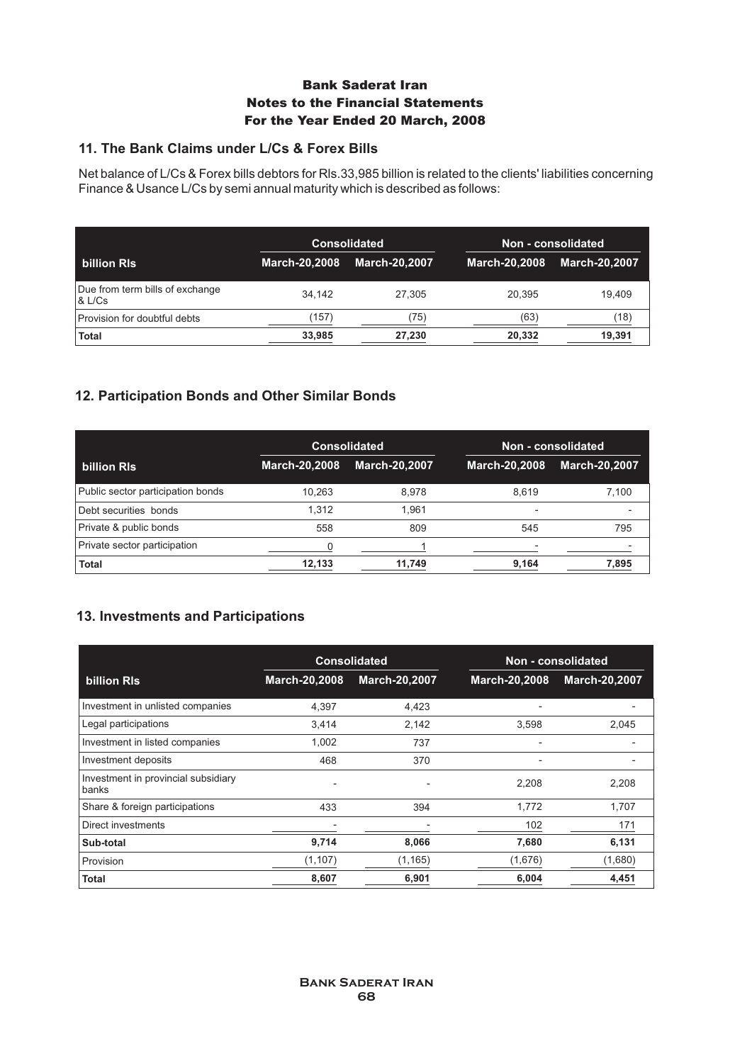### **11. The Bank Claims under L/Cs & Forex Bills**

Net balance of L/Cs & Forex bills debtors for Rls.33,985 billion is related to the clients' liabilities concerning Finance & Usance L/Cs by semi annual maturity which is described as follows:

|                                           | <b>Consolidated</b>  |                      | Non - consolidated |                      |
|-------------------------------------------|----------------------|----------------------|--------------------|----------------------|
| billion RIs                               | <b>March-20,2008</b> | <b>March-20.2007</b> | March-20,2008      | <b>March-20,2007</b> |
| Due from term bills of exchange<br>& L/Cs | 34.142               | 27.305               | 20.395             | 19.409               |
| Provision for doubtful debts              | (157)                | (75)                 | (63)               | (18)                 |
| <b>Total</b>                              | 33,985               | 27,230               | 20,332             | 19,391               |

### **12. Participation Bonds and Other Similar Bonds**

|                                   | <b>Consolidated</b>  |                      | Non - consolidated |                      |
|-----------------------------------|----------------------|----------------------|--------------------|----------------------|
| billion RIs                       | <b>March-20,2008</b> | <b>March-20,2007</b> | March-20,2008      | <b>March-20,2007</b> |
| Public sector participation bonds | 10.263               | 8.978                | 8.619              | 7,100                |
| Debt securities bonds             | 1.312                | 1.961                | -                  |                      |
| Private & public bonds            | 558                  | 809                  | 545                | 795                  |
| Private sector participation      |                      |                      |                    |                      |
| <b>Total</b>                      | 12,133               | 11,749               | 9,164              | 7,895                |

### **13. Investments and Participations**

|                                              | <b>Consolidated</b>      |                      | Non - consolidated |                      |
|----------------------------------------------|--------------------------|----------------------|--------------------|----------------------|
| billion RIs                                  | <b>March-20,2008</b>     | <b>March-20,2007</b> | March-20,2008      | <b>March-20,2007</b> |
| Investment in unlisted companies             | 4,397                    | 4,423                |                    |                      |
| Legal participations                         | 3,414                    | 2,142                | 3,598              | 2,045                |
| Investment in listed companies               | 1,002                    | 737                  |                    |                      |
| Investment deposits                          | 468                      | 370                  | -                  |                      |
| Investment in provincial subsidiary<br>banks | $\overline{\phantom{a}}$ |                      | 2,208              | 2,208                |
| Share & foreign participations               | 433                      | 394                  | 1.772              | 1,707                |
| Direct investments                           |                          |                      | 102                | 171                  |
| Sub-total                                    | 9,714                    | 8,066                | 7,680              | 6,131                |
| Provision                                    | (1, 107)                 | (1, 165)             | (1,676)            | (1,680)              |
| Total                                        | 8,607                    | 6,901                | 6,004              | 4.451                |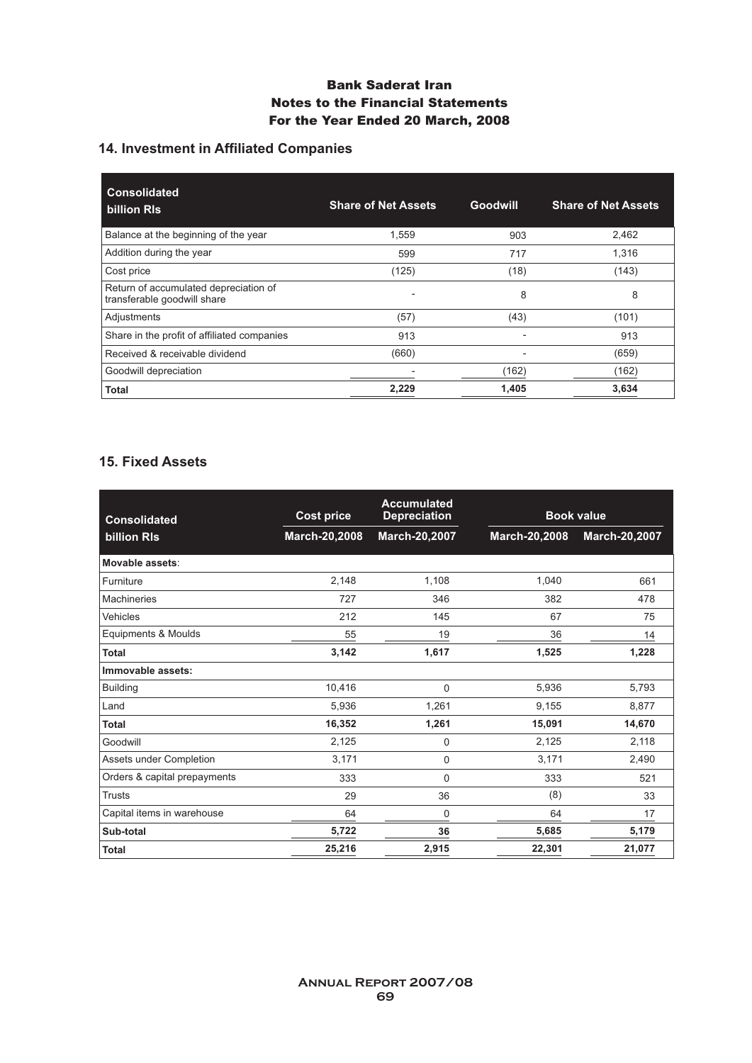# **14. Investment in Affiliated Companies**

| <b>Consolidated</b><br>billion RIs                                   | <b>Share of Net Assets</b> | Goodwill | <b>Share of Net Assets</b> |
|----------------------------------------------------------------------|----------------------------|----------|----------------------------|
| Balance at the beginning of the year                                 | 1.559                      | 903      | 2,462                      |
| Addition during the year                                             | 599                        | 717      | 1.316                      |
| Cost price                                                           | (125)                      | (18)     | (143)                      |
| Return of accumulated depreciation of<br>transferable goodwill share | $\overline{\phantom{a}}$   | 8        | 8                          |
| Adjustments                                                          | (57)                       | (43)     | (101)                      |
| Share in the profit of affiliated companies                          | 913                        |          | 913                        |
| Received & receivable dividend                                       | (660)                      |          | (659)                      |
| Goodwill depreciation                                                |                            | (162)    | (162)                      |
| <b>Total</b>                                                         | 2,229                      | 1,405    | 3,634                      |

### **15. Fixed Assets**

| <b>Consolidated</b>          | <b>Cost price</b> | <b>Accumulated</b><br><b>Depreciation</b> | <b>Book value</b> |               |
|------------------------------|-------------------|-------------------------------------------|-------------------|---------------|
| billion RIs                  | March-20,2008     | March-20,2007                             | March-20,2008     | March-20,2007 |
| Movable assets:              |                   |                                           |                   |               |
| Furniture                    | 2.148             | 1,108                                     | 1,040             | 661           |
| <b>Machineries</b>           | 727               | 346                                       | 382               | 478           |
| Vehicles                     | 212               | 145                                       | 67                | 75            |
| Equipments & Moulds          | 55                | 19                                        | 36                | 14            |
| <b>Total</b>                 | 3,142             | 1,617                                     | 1,525             | 1,228         |
| Immovable assets:            |                   |                                           |                   |               |
| <b>Building</b>              | 10.416            | 0                                         | 5,936             | 5,793         |
| Land                         | 5,936             | 1,261                                     | 9,155             | 8,877         |
| <b>Total</b>                 | 16,352            | 1,261                                     | 15,091            | 14,670        |
| Goodwill                     | 2,125             | 0                                         | 2,125             | 2,118         |
| Assets under Completion      | 3,171             | 0                                         | 3,171             | 2,490         |
| Orders & capital prepayments | 333               | 0                                         | 333               | 521           |
| <b>Trusts</b>                | 29                | 36                                        | (8)               | 33            |
| Capital items in warehouse   | 64                | 0                                         | 64                | 17            |
| Sub-total                    | 5,722             | 36                                        | 5,685             | 5,179         |
| <b>Total</b>                 | 25,216            | 2,915                                     | 22,301            | 21,077        |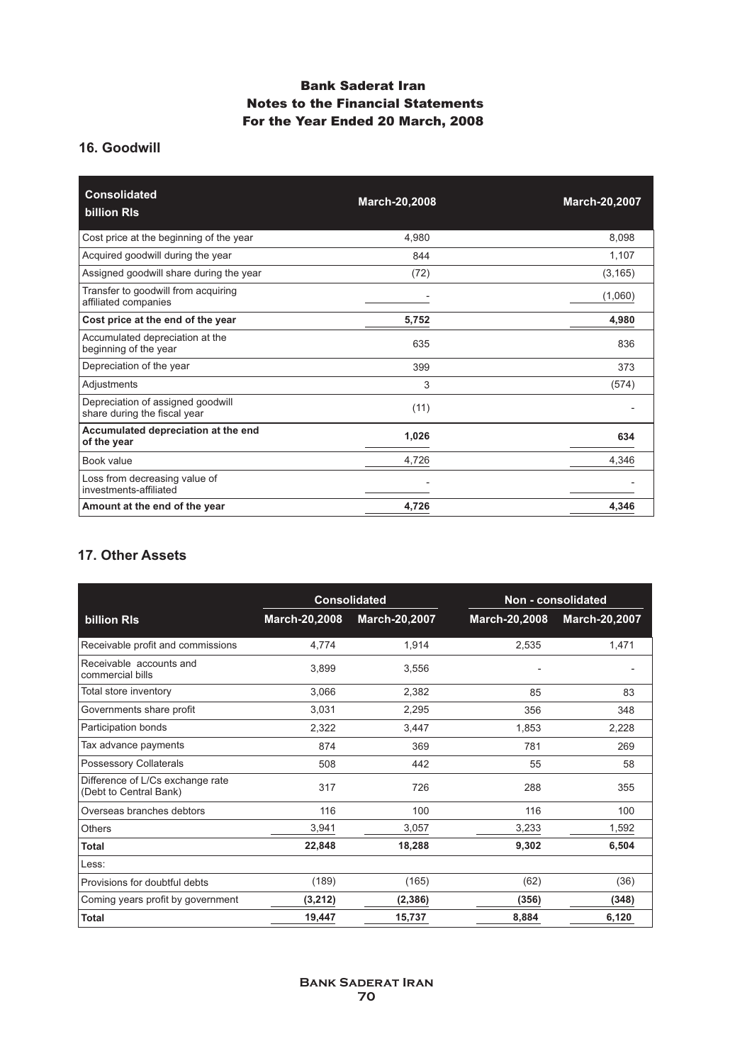# **16. Goodwill**

| <b>Consolidated</b><br>billion RIs                                | <b>March-20,2008</b> | <b>March-20,2007</b> |
|-------------------------------------------------------------------|----------------------|----------------------|
| Cost price at the beginning of the year                           | 4,980                | 8,098                |
| Acquired goodwill during the year                                 | 844                  | 1,107                |
| Assigned goodwill share during the year                           | (72)                 | (3, 165)             |
| Transfer to goodwill from acquiring<br>affiliated companies       |                      | (1,060)              |
| Cost price at the end of the year                                 | 5,752                | 4,980                |
| Accumulated depreciation at the<br>beginning of the year          | 635                  | 836                  |
| Depreciation of the year                                          | 399                  | 373                  |
| Adjustments                                                       | 3                    | (574)                |
| Depreciation of assigned goodwill<br>share during the fiscal year | (11)                 |                      |
| Accumulated depreciation at the end<br>of the year                | 1,026                | 634                  |
| Book value                                                        | 4,726                | 4,346                |
| Loss from decreasing value of<br>investments-affiliated           |                      |                      |
| Amount at the end of the year                                     | 4,726                | 4,346                |

# **17. Other Assets**

|                                                            | <b>Consolidated</b> |               |               | Non - consolidated |
|------------------------------------------------------------|---------------------|---------------|---------------|--------------------|
| billion RIs                                                | March-20,2008       | March-20,2007 | March-20,2008 | March-20,2007      |
| Receivable profit and commissions                          | 4,774               | 1,914         | 2,535         | 1,471              |
| Receivable accounts and<br>commercial bills                | 3.899               | 3,556         |               |                    |
| Total store inventory                                      | 3,066               | 2,382         | 85            | 83                 |
| Governments share profit                                   | 3,031               | 2,295         | 356           | 348                |
| Participation bonds                                        | 2,322               | 3,447         | 1,853         | 2,228              |
| Tax advance payments                                       | 874                 | 369           | 781           | 269                |
| Possessory Collaterals                                     | 508                 | 442           | 55            | 58                 |
| Difference of L/Cs exchange rate<br>(Debt to Central Bank) | 317                 | 726           | 288           | 355                |
| Overseas branches debtors                                  | 116                 | 100           | 116           | 100                |
| <b>Others</b>                                              | 3,941               | 3,057         | 3,233         | 1,592              |
| Total                                                      | 22,848              | 18,288        | 9,302         | 6,504              |
| Less:                                                      |                     |               |               |                    |
| Provisions for doubtful debts                              | (189)               | (165)         | (62)          | (36)               |
| Coming years profit by government                          | (3,212)             | (2, 386)      | (356)         | (348)              |
| <b>Total</b>                                               | 19,447              | 15,737        | 8,884         | 6,120              |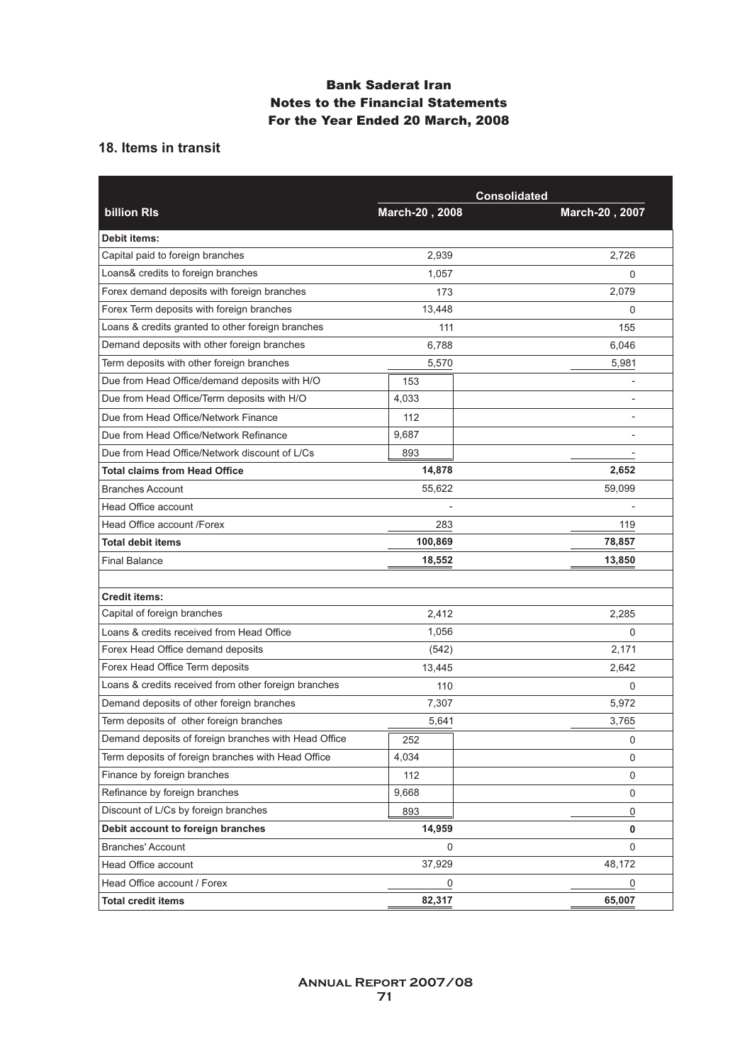### **18. Items in transit**

|                                                      |                | <b>Consolidated</b>      |
|------------------------------------------------------|----------------|--------------------------|
| <b>billion RIs</b>                                   | March-20, 2008 | March-20, 2007           |
| <b>Debit items:</b>                                  |                |                          |
| Capital paid to foreign branches                     | 2,939          | 2,726                    |
| Loans& credits to foreign branches                   | 1,057          | 0                        |
| Forex demand deposits with foreign branches          | 173            | 2,079                    |
| Forex Term deposits with foreign branches            | 13,448         | $\mathbf 0$              |
| Loans & credits granted to other foreign branches    | 111            | 155                      |
| Demand deposits with other foreign branches          | 6,788          | 6,046                    |
| Term deposits with other foreign branches            | 5,570          | 5,981                    |
| Due from Head Office/demand deposits with H/O        | 153            |                          |
| Due from Head Office/Term deposits with H/O          | 4,033          |                          |
| Due from Head Office/Network Finance                 | 112            |                          |
| Due from Head Office/Network Refinance               | 9,687          |                          |
| Due from Head Office/Network discount of L/Cs        | 893            | $\overline{\phantom{m}}$ |
| <b>Total claims from Head Office</b>                 | 14,878         | 2,652                    |
| <b>Branches Account</b>                              | 55,622         | 59,099                   |
| <b>Head Office account</b>                           |                |                          |
| Head Office account /Forex                           | 283            | 119                      |
| <b>Total debit items</b>                             | 100,869        | 78,857                   |
| <b>Final Balance</b>                                 | 18,552         | 13,850                   |
|                                                      |                |                          |
| <b>Credit items:</b>                                 |                |                          |
| Capital of foreign branches                          | 2,412          | 2,285                    |
| Loans & credits received from Head Office            | 1,056          | 0                        |
| Forex Head Office demand deposits                    | (542)          | 2,171                    |
| Forex Head Office Term deposits                      | 13,445         | 2,642                    |
| Loans & credits received from other foreign branches | 110            | 0                        |
| Demand deposits of other foreign branches            | 7,307          | 5,972                    |
| Term deposits of other foreign branches              | 5,641          | 3,765                    |
| Demand deposits of foreign branches with Head Office | 252            | 0                        |
| Term deposits of foreign branches with Head Office   | 4,034          | 0                        |
| Finance by foreign branches                          | 112            | 0                        |
| Refinance by foreign branches                        | 9,668          | 0                        |
| Discount of L/Cs by foreign branches                 | 893            | 0                        |
| Debit account to foreign branches                    | 14,959         | 0                        |
| <b>Branches' Account</b>                             | 0              | 0                        |
| Head Office account                                  | 37,929         | 48,172                   |
| Head Office account / Forex                          | $\pmb{0}$      | 0                        |
| <b>Total credit items</b>                            | 82,317         | 65,007                   |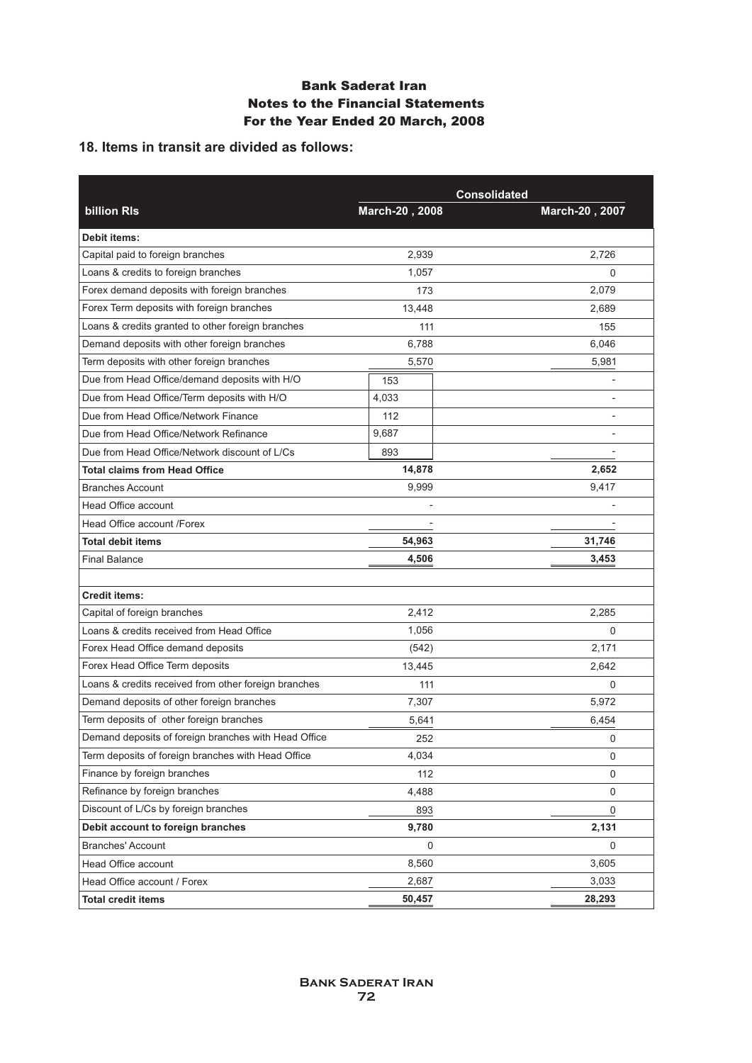### **18. Items in transit are divided as follows:**

|                                                      | <b>Consolidated</b> |                |  |
|------------------------------------------------------|---------------------|----------------|--|
| <b>billion RIs</b>                                   | March-20, 2008      | March-20, 2007 |  |
| <b>Debit items:</b>                                  |                     |                |  |
| Capital paid to foreign branches                     | 2,939               | 2,726          |  |
| Loans & credits to foreign branches                  | 1,057               | $\Omega$       |  |
| Forex demand deposits with foreign branches          | 173                 | 2,079          |  |
| Forex Term deposits with foreign branches            | 13,448              | 2,689          |  |
| Loans & credits granted to other foreign branches    | 111                 | 155            |  |
| Demand deposits with other foreign branches          | 6,788               | 6,046          |  |
| Term deposits with other foreign branches            | 5,570               | 5,981          |  |
| Due from Head Office/demand deposits with H/O        | 153                 |                |  |
| Due from Head Office/Term deposits with H/O          | 4,033               |                |  |
| Due from Head Office/Network Finance                 | 112                 |                |  |
| Due from Head Office/Network Refinance               | 9,687               |                |  |
| Due from Head Office/Network discount of L/Cs        | 893                 |                |  |
| <b>Total claims from Head Office</b>                 | 14,878              | 2,652          |  |
| <b>Branches Account</b>                              | 9,999               | 9,417          |  |
| Head Office account                                  |                     |                |  |
| Head Office account /Forex                           |                     |                |  |
| <b>Total debit items</b>                             | 54,963              | 31,746         |  |
| <b>Final Balance</b>                                 | 4,506               | 3,453          |  |
|                                                      |                     |                |  |
| <b>Credit items:</b>                                 |                     |                |  |
| Capital of foreign branches                          | 2,412               | 2,285          |  |
| Loans & credits received from Head Office            | 1,056               | $\mathbf 0$    |  |
| Forex Head Office demand deposits                    | (542)               | 2,171          |  |
| Forex Head Office Term deposits                      | 13,445              | 2,642          |  |
| Loans & credits received from other foreign branches | 111                 | 0              |  |
| Demand deposits of other foreign branches            | 7,307               | 5,972          |  |
| Term deposits of other foreign branches              | 5,641               | 6,454          |  |
| Demand deposits of foreign branches with Head Office | 252                 | 0              |  |
| Term deposits of foreign branches with Head Office   | 4,034               | 0              |  |
| Finance by foreign branches                          | 112                 | 0              |  |
| Refinance by foreign branches                        | 4,488               | 0              |  |
| Discount of L/Cs by foreign branches                 | 893                 | 0              |  |
| Debit account to foreign branches                    | 9,780               | 2,131          |  |
| <b>Branches' Account</b>                             | 0                   | $\mathbf 0$    |  |
| Head Office account                                  | 8,560               | 3,605          |  |
| Head Office account / Forex                          | 2,687               | 3,033          |  |
| <b>Total credit items</b>                            | 50,457              | 28,293         |  |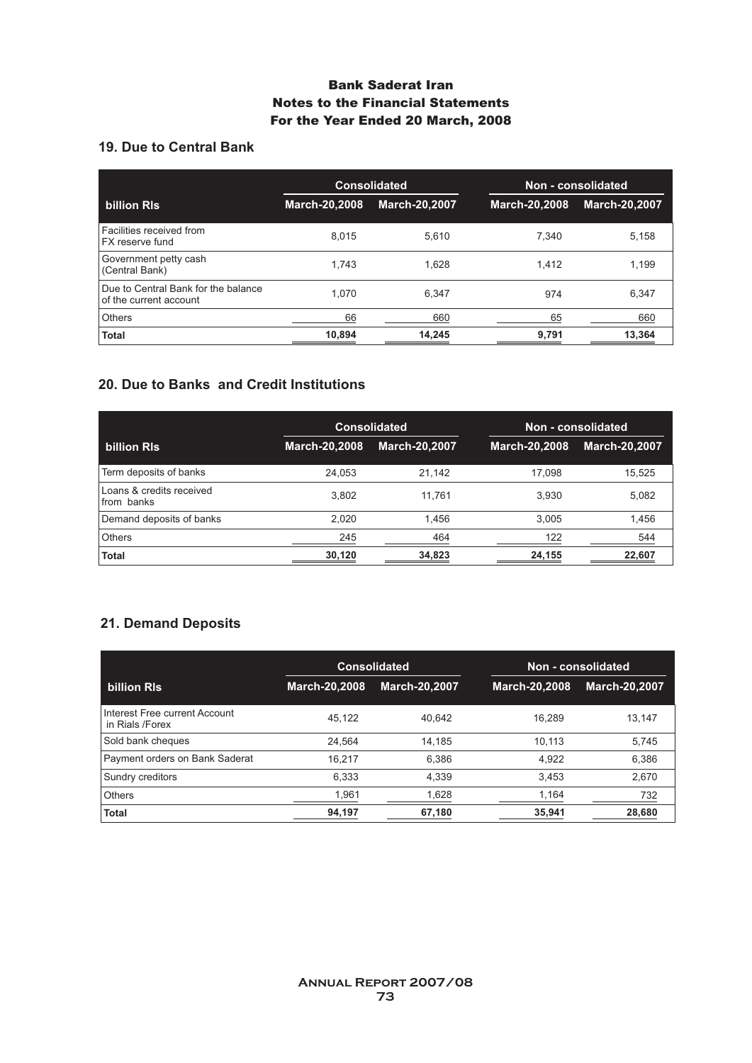# **19. Due to Central Bank**

|                                                               | <b>Consolidated</b> |                      | Non - consolidated |                      |
|---------------------------------------------------------------|---------------------|----------------------|--------------------|----------------------|
| billion RIs                                                   | March-20,2008       | <b>March-20,2007</b> | March-20,2008      | <b>March-20,2007</b> |
| Facilities received from<br>FX reserve fund                   | 8.015               | 5.610                | 7.340              | 5.158                |
| Government petty cash<br>(Central Bank)                       | 1.743               | 1.628                | 1.412              | 1,199                |
| Due to Central Bank for the balance<br>of the current account | 1.070               | 6.347                | 974                | 6,347                |
| <b>Others</b>                                                 | 66                  | 660                  | 65                 | 660                  |
| <b>Total</b>                                                  | 10,894              | 14,245               | 9,791              | 13,364               |

### **20. Due to Banks and Credit Institutions**

|                                        |                      | <b>Consolidated</b>  |                      | Non - consolidated   |
|----------------------------------------|----------------------|----------------------|----------------------|----------------------|
| billion RIs                            | <b>March-20,2008</b> | <b>March-20,2007</b> | <b>March-20,2008</b> | <b>March-20,2007</b> |
| Term deposits of banks                 | 24,053               | 21,142               | 17.098               | 15,525               |
| Loans & credits received<br>from banks | 3.802                | 11.761               | 3.930                | 5.082                |
| Demand deposits of banks               | 2.020                | 1.456                | 3.005                | 1,456                |
| <b>Others</b>                          | 245                  | 464                  | 122                  | 544                  |
| <b>Total</b>                           | 30,120               | 34,823               | 24,155               | 22,607               |

# **21. Demand Deposits**

|                                                  | <b>Consolidated</b>  |                      | Non - consolidated   |                      |
|--------------------------------------------------|----------------------|----------------------|----------------------|----------------------|
| <b>billion RIs</b>                               | <b>March-20,2008</b> | <b>March-20.2007</b> | <b>March-20,2008</b> | <b>March-20.2007</b> |
| Interest Free current Account<br>in Rials /Forex | 45.122               | 40.642               | 16.289               | 13.147               |
| Sold bank cheques                                | 24.564               | 14.185               | 10.113               | 5,745                |
| Payment orders on Bank Saderat                   | 16,217               | 6,386                | 4.922                | 6,386                |
| Sundry creditors                                 | 6,333                | 4,339                | 3.453                | 2,670                |
| Others                                           | 1,961                | 1,628                | 1,164                | 732                  |
| <b>Total</b>                                     | 94,197               | 67,180               | 35,941               | 28,680               |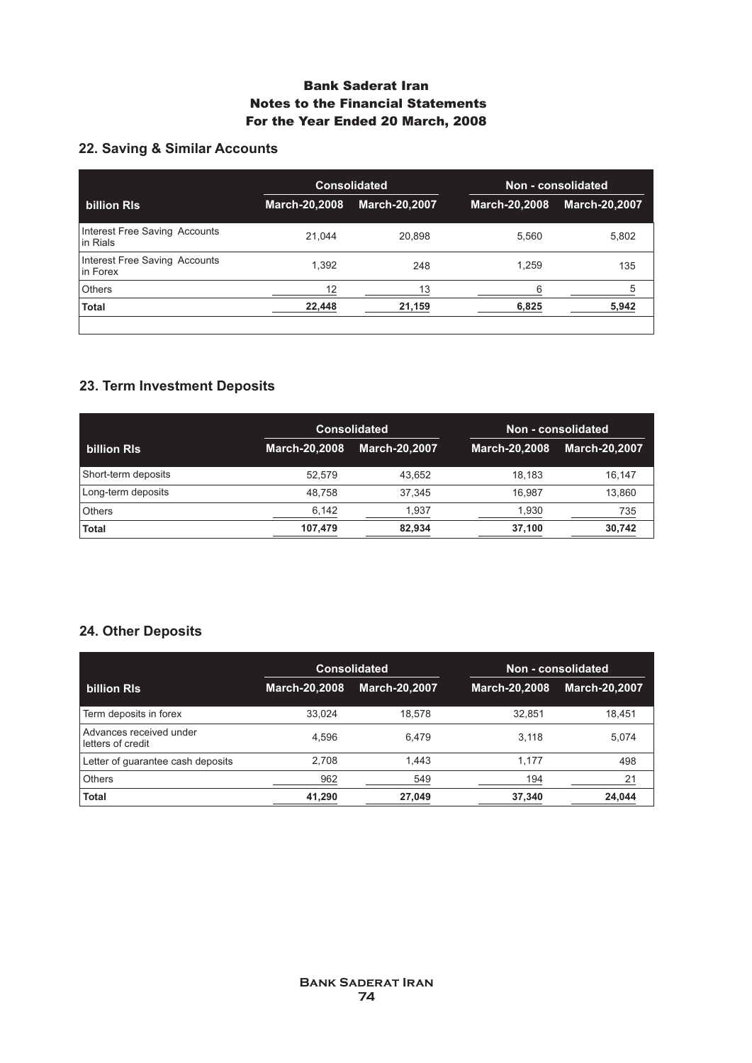# **22. Saving & Similar Accounts**

|                                           |                      | <b>Consolidated</b>  |               | Non - consolidated   |  |
|-------------------------------------------|----------------------|----------------------|---------------|----------------------|--|
| billion RIs                               | <b>March-20,2008</b> | <b>March-20,2007</b> | March-20,2008 | <b>March-20,2007</b> |  |
| Interest Free Saving Accounts<br>in Rials | 21.044               | 20.898               | 5.560         | 5,802                |  |
| Interest Free Saving Accounts<br>in Forex | 1.392                | 248                  | 1.259         | 135                  |  |
| <b>Others</b>                             | 12                   | 13                   | հ             | 5                    |  |
| <b>Total</b>                              | 22,448               | 21,159               | 6,825         | 5,942                |  |
|                                           |                      |                      |               |                      |  |

# **23. Term Investment Deposits**

|                     |                      | <b>Consolidated</b>  |                      | Non - consolidated   |
|---------------------|----------------------|----------------------|----------------------|----------------------|
| billion RIs         | <b>March-20,2008</b> | <b>March-20.2007</b> | <b>March-20,2008</b> | <b>March-20,2007</b> |
| Short-term deposits | 52.579               | 43.652               | 18.183               | 16.147               |
| Long-term deposits  | 48.758               | 37.345               | 16.987               | 13.860               |
| <b>Others</b>       | 6,142                | 1.937                | 1,930                | 735                  |
| <b>Total</b>        | 107,479              | 82,934               | 37,100               | 30,742               |

# **24. Other Deposits**

|                                              | <b>Consolidated</b>  |                      | Non - consolidated |                      |
|----------------------------------------------|----------------------|----------------------|--------------------|----------------------|
| billion RIs                                  | <b>March-20,2008</b> | <b>March-20,2007</b> | March-20,2008      | <b>March-20,2007</b> |
| Term deposits in forex                       | 33,024               | 18.578               | 32.851             | 18,451               |
| Advances received under<br>letters of credit | 4.596                | 6.479                | 3.118              | 5.074                |
| Letter of quarantee cash deposits            | 2,708                | 1,443                | 1.177              | 498                  |
| <b>Others</b>                                | 962                  | 549                  | 194                | 21                   |
| <b>Total</b>                                 | 41,290               | 27,049               | 37,340             | 24.044               |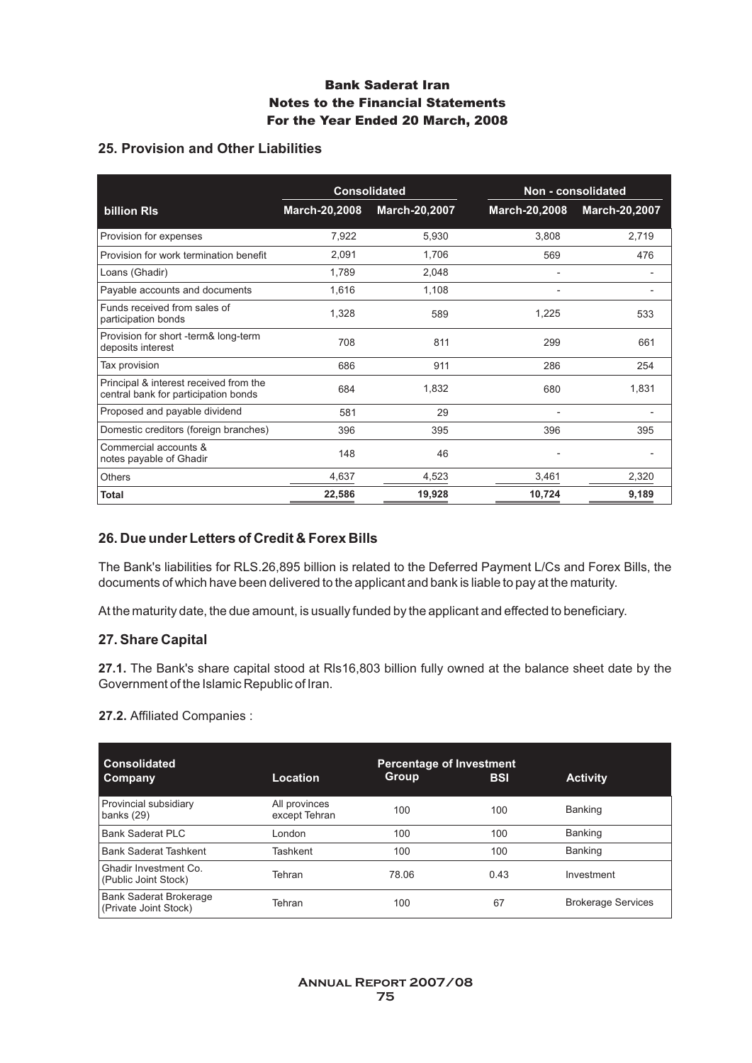### **25. Provision and Other Liabilities**

|                                                                                | <b>Consolidated</b> |               |                              | Non - consolidated   |
|--------------------------------------------------------------------------------|---------------------|---------------|------------------------------|----------------------|
| billion RIs                                                                    | March-20,2008       | March-20,2007 | March-20,2008                | <b>March-20,2007</b> |
| Provision for expenses                                                         | 7,922               | 5,930         | 3,808                        | 2,719                |
| Provision for work termination benefit                                         | 2,091               | 1,706         | 569                          | 476                  |
| Loans (Ghadir)                                                                 | 1,789               | 2,048         |                              | -                    |
| Payable accounts and documents                                                 | 1,616               | 1,108         | $\qquad \qquad \blacksquare$ | -                    |
| Funds received from sales of<br>participation bonds                            | 1,328               | 589           | 1,225                        | 533                  |
| Provision for short -term& long-term<br>deposits interest                      | 708                 | 811           | 299                          | 661                  |
| Tax provision                                                                  | 686                 | 911           | 286                          | 254                  |
| Principal & interest received from the<br>central bank for participation bonds | 684                 | 1,832         | 680                          | 1,831                |
| Proposed and payable dividend                                                  | 581                 | 29            |                              |                      |
| Domestic creditors (foreign branches)                                          | 396                 | 395           | 396                          | 395                  |
| Commercial accounts &<br>notes payable of Ghadir                               | 148                 | 46            |                              |                      |
| <b>Others</b>                                                                  | 4,637               | 4,523         | 3,461                        | 2,320                |
| <b>Total</b>                                                                   | 22,586              | 19,928        | 10,724                       | 9,189                |

### **26. Due under Letters of Credit & Forex Bills**

The Bank's liabilities for RLS.26,895 billion is related to the Deferred Payment L/Cs and Forex Bills, the documents of which have been delivered to the applicant and bank is liable to pay at the maturity.

At the maturity date, the due amount, is usually funded by the applicant and effected to beneficiary.

### **27. Share Capital**

**27.1.** The Bank's share capital stood at Rls16,803 billion fully owned at the balance sheet date by the Government of the Islamic Republic of Iran.

#### **27.2.** Affiliated Companies :

| <b>Consolidated</b><br>Company                         | <b>Location</b>                | <b>Percentage of Investment</b><br><b>Group</b> | <b>BSI</b> | <b>Activity</b>           |
|--------------------------------------------------------|--------------------------------|-------------------------------------------------|------------|---------------------------|
| Provincial subsidiary<br>banks $(29)$                  | All provinces<br>except Tehran | 100                                             | 100        | Banking                   |
| <b>Bank Saderat PLC</b>                                | London                         | 100                                             | 100        | Banking                   |
| <b>Bank Saderat Tashkent</b>                           | Tashkent                       | 100                                             | 100        | <b>Banking</b>            |
| Ghadir Investment Co.<br>(Public Joint Stock)          | Tehran                         | 78.06                                           | 0.43       | Investment                |
| <b>Bank Saderat Brokerage</b><br>(Private Joint Stock) | Tehran                         | 100                                             | 67         | <b>Brokerage Services</b> |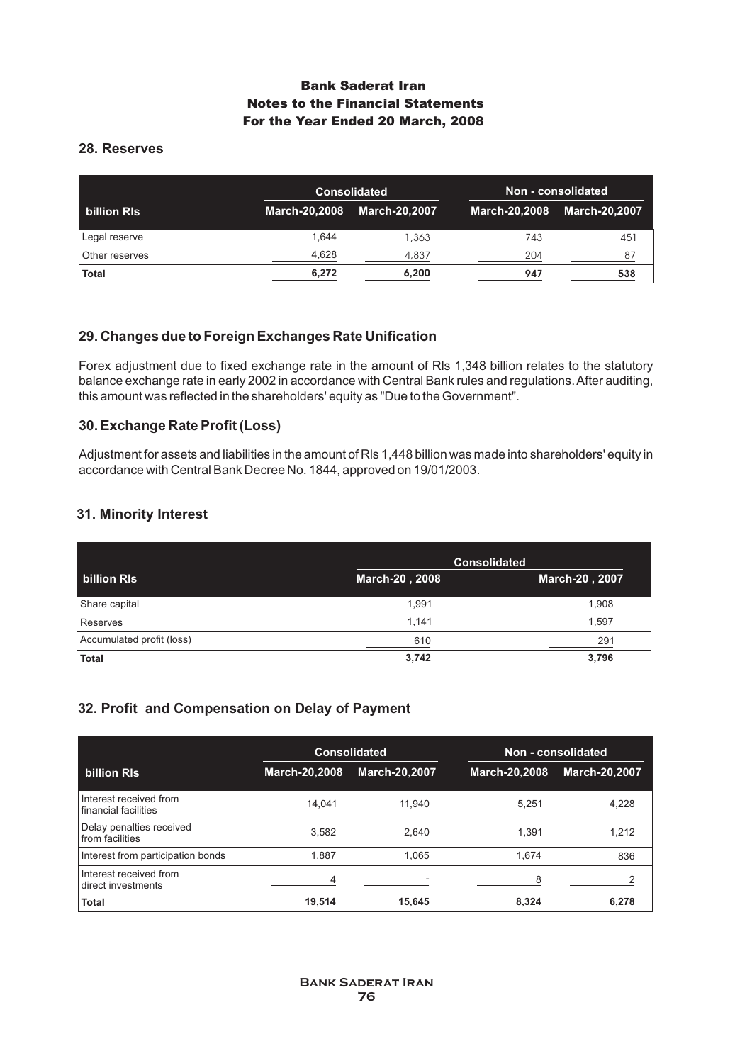# **28. Reserves**

|                | <b>Consolidated</b> |                      |     | Non - consolidated          |
|----------------|---------------------|----------------------|-----|-----------------------------|
| billion RIs    | March-20,2008       | <b>March-20,2007</b> |     | March-20,2008 March-20,2007 |
| Legal reserve  | 1.644               | 1,363                | 743 | 451                         |
| Other reserves | 4,628               | 4,837                | 204 | 87                          |
| <b>Total</b>   | 6,272               | 6,200                | 947 | 538                         |

# **29. Changes due to Foreign Exchanges Rate Unification**

Forex adjustment due to fixed exchange rate in the amount of Rls 1,348 billion relates to the statutory balance exchange rate in early 2002 in accordance with Central Bank rules and regulations. After auditing, this amount was reflected in the shareholders' equity as "Due to the Government".

### **30. Exchange Rate Profit (Loss)**

Adjustment for assets and liabilities in the amount of Rls 1,448 billion was made into shareholders' equity in accordance with Central Bank Decree No. 1844, approved on 19/01/2003.

### **31. Minority Interest**

|                           |                | <b>Consolidated</b> |
|---------------------------|----------------|---------------------|
| billion RIs               | March-20, 2008 | March-20, 2007      |
| Share capital             | 1.991          | 1.908               |
| Reserves                  | 1.141          | 1.597               |
| Accumulated profit (loss) | 610            | 291                 |
| <b>Total</b>              | 3,742          | 3,796               |

# **32. Profit and Compensation on Delay of Payment**

|                                                |               | <b>Consolidated</b>  |               | Non - consolidated   |
|------------------------------------------------|---------------|----------------------|---------------|----------------------|
| billion RIs                                    | March-20,2008 | <b>March-20,2007</b> | March-20,2008 | <b>March-20,2007</b> |
| Interest received from<br>financial facilities | 14.041        | 11.940               | 5.251         | 4,228                |
| Delay penalties received<br>from facilities    | 3.582         | 2.640                | 1.391         | 1.212                |
| Interest from participation bonds              | 1,887         | 1,065                | 1.674         | 836                  |
| Interest received from<br>direct investments   | 4             |                      | 8             | 2                    |
| <b>Total</b>                                   | 19,514        | 15,645               | 8,324         | 6,278                |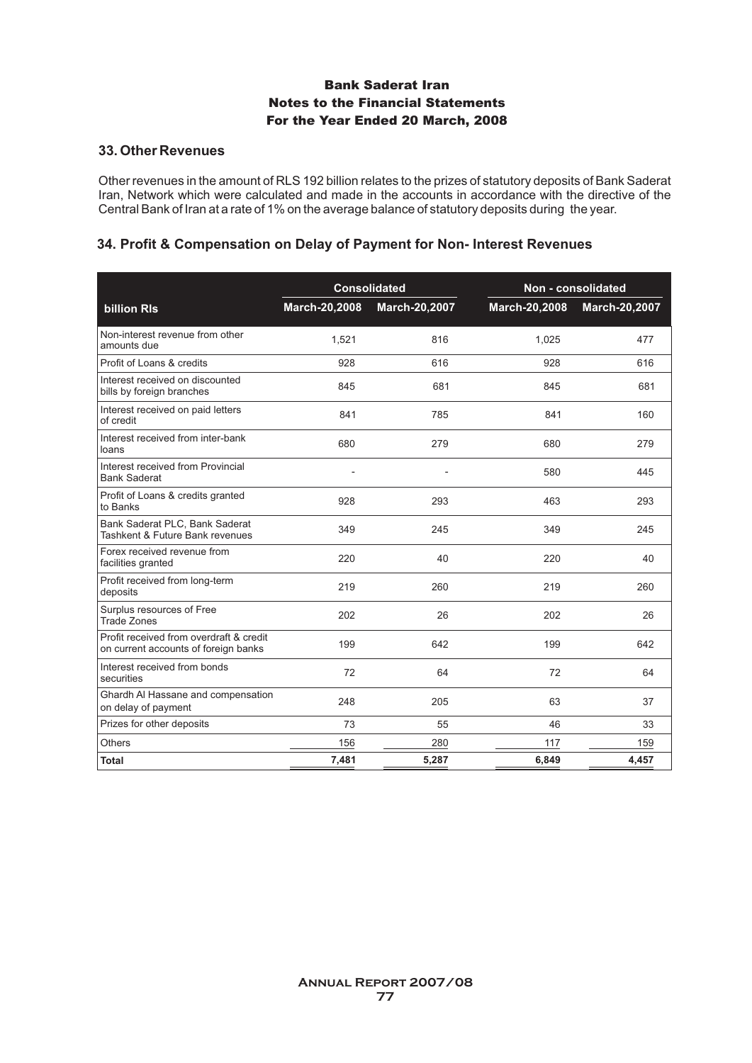#### **33. Other Revenues**

Other revenues in the amount of RLS 192 billion relates to the prizes of statutory deposits of Bank Saderat Iran, Network which were calculated and made in the accounts in accordance with the directive of the Central Bank of Iran at a rate of 1% on the average balance of statutory deposits during the year.

### **34. Profit & Compensation on Delay of Payment for Non- Interest Revenues**

|                                                                                 |               | <b>Consolidated</b> | Non - consolidated |               |
|---------------------------------------------------------------------------------|---------------|---------------------|--------------------|---------------|
| <b>billion RIs</b>                                                              | March-20,2008 | March-20,2007       | March-20,2008      | March-20,2007 |
| Non-interest revenue from other<br>amounts due                                  | 1,521         | 816                 | 1,025              | 477           |
| Profit of Loans & credits                                                       | 928           | 616                 | 928                | 616           |
| Interest received on discounted<br>bills by foreign branches                    | 845           | 681                 | 845                | 681           |
| Interest received on paid letters<br>of credit                                  | 841           | 785                 | 841                | 160           |
| Interest received from inter-bank<br>loans                                      | 680           | 279                 | 680                | 279           |
| Interest received from Provincial<br><b>Bank Saderat</b>                        |               |                     | 580                | 445           |
| Profit of Loans & credits granted<br>to Banks                                   | 928           | 293                 | 463                | 293           |
| Bank Saderat PLC, Bank Saderat<br>Tashkent & Future Bank revenues               | 349           | 245                 | 349                | 245           |
| Forex received revenue from<br>facilities granted                               | 220           | 40                  | 220                | 40            |
| Profit received from long-term<br>deposits                                      | 219           | 260                 | 219                | 260           |
| Surplus resources of Free<br>Trade Zones                                        | 202           | 26                  | 202                | 26            |
| Profit received from overdraft & credit<br>on current accounts of foreign banks | 199           | 642                 | 199                | 642           |
| Interest received from bonds<br>securities                                      | 72            | 64                  | 72                 | 64            |
| Ghardh Al Hassane and compensation<br>on delay of payment                       | 248           | 205                 | 63                 | 37            |
| Prizes for other deposits                                                       | 73            | 55                  | 46                 | 33            |
| Others                                                                          | 156           | 280                 | 117                | 159           |
| Total                                                                           | 7,481         | 5,287               | 6,849              | 4,457         |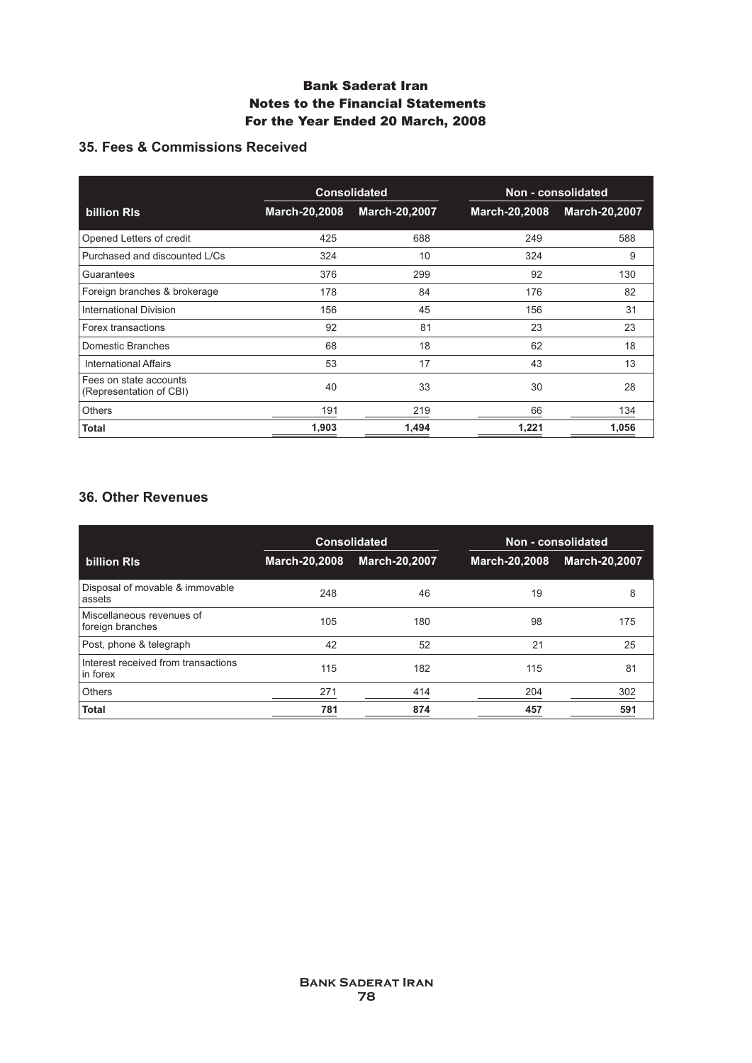# **35. Fees & Commissions Received**

|                                                   | <b>Consolidated</b> |                      |               |                      |  | Non - consolidated |
|---------------------------------------------------|---------------------|----------------------|---------------|----------------------|--|--------------------|
| billion RIs                                       | March-20,2008       | <b>March-20,2007</b> | March-20,2008 | <b>March-20,2007</b> |  |                    |
| Opened Letters of credit                          | 425                 | 688                  | 249           | 588                  |  |                    |
| Purchased and discounted L/Cs                     | 324                 | 10                   | 324           | 9                    |  |                    |
| Guarantees                                        | 376                 | 299                  | 92            | 130                  |  |                    |
| Foreign branches & brokerage                      | 178                 | 84                   | 176           | 82                   |  |                    |
| <b>International Division</b>                     | 156                 | 45                   | 156           | 31                   |  |                    |
| Forex transactions                                | 92                  | 81                   | 23            | 23                   |  |                    |
| Domestic Branches                                 | 68                  | 18                   | 62            | 18                   |  |                    |
| <b>International Affairs</b>                      | 53                  | 17                   | 43            | 13                   |  |                    |
| Fees on state accounts<br>(Representation of CBI) | 40                  | 33                   | 30            | 28                   |  |                    |
| <b>Others</b>                                     | 191                 | 219                  | 66            | 134                  |  |                    |
| Total                                             | 1,903               | 1,494                | 1,221         | 1,056                |  |                    |

# **36. Other Revenues**

|                                                 | <b>Consolidated</b> |                      | Non - consolidated |                      |
|-------------------------------------------------|---------------------|----------------------|--------------------|----------------------|
| billion RIs                                     | March-20,2008       | <b>March-20,2007</b> | March-20,2008      | <b>March-20,2007</b> |
| Disposal of movable & immovable<br>assets       | 248                 | 46                   | 19                 | 8                    |
| Miscellaneous revenues of<br>foreign branches   | 105                 | 180                  | 98                 | 175                  |
| Post, phone & telegraph                         | 42                  | 52                   | 21                 | 25                   |
| Interest received from transactions<br>in forex | 115                 | 182                  | 115                | 81                   |
| <b>Others</b>                                   | 271                 | 414                  | 204                | 302                  |
| <b>Total</b>                                    | 781                 | 874                  | 457                | 591                  |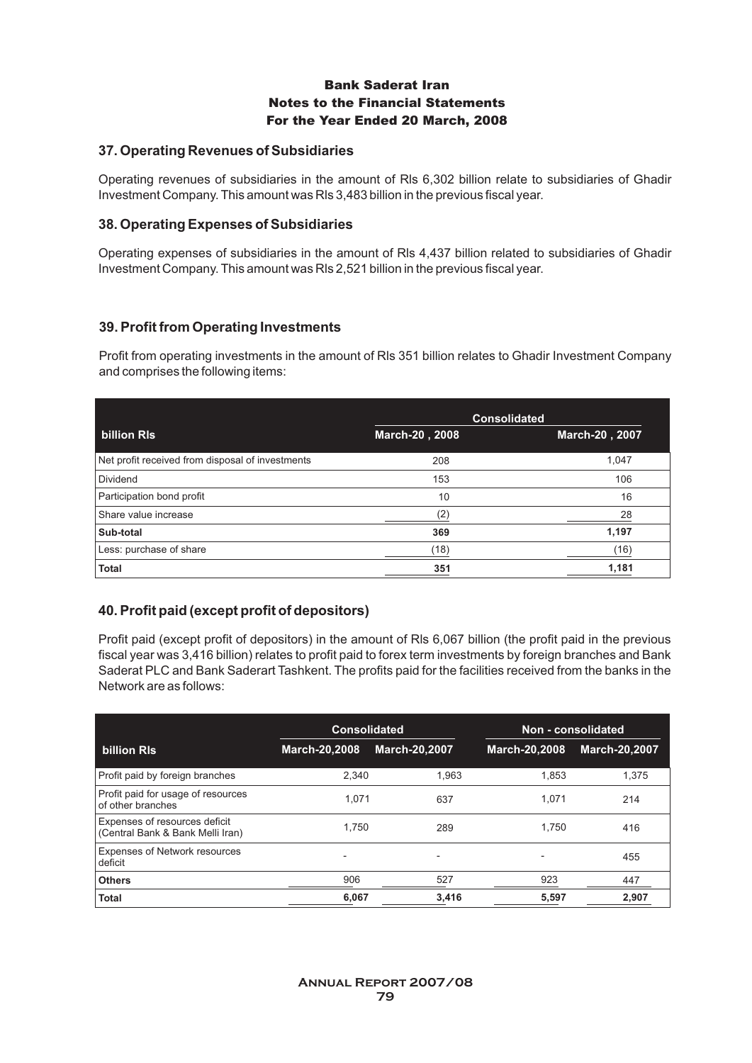### **37. Operating Revenues of Subsidiaries**

Operating revenues of subsidiaries in the amount of Rls 6,302 billion relate to subsidiaries of Ghadir Investment Company. This amount was Rls 3,483 billion in the previous fiscal year.

#### **38. Operating Expenses of Subsidiaries**

Operating expenses of subsidiaries in the amount of Rls 4,437 billion related to subsidiaries of Ghadir Investment Company. This amount was Rls 2,521 billion in the previous fiscal year.

### **39. Profit from Operating Investments**

Profit from operating investments in the amount of Rls 351 billion relates to Ghadir Investment Company and comprises the following items:

|                                                  |                | <b>Consolidated</b> |
|--------------------------------------------------|----------------|---------------------|
| billion RIs                                      | March-20, 2008 | March-20, 2007      |
| Net profit received from disposal of investments | 208            | 1,047               |
| Dividend                                         | 153            | 106                 |
| Participation bond profit                        | 10             | 16                  |
| Share value increase                             | (2)            | 28                  |
| Sub-total                                        | 369            | 1,197               |
| Less: purchase of share                          | (18)           | (16)                |
| <b>Total</b>                                     | 351            | 1,181               |

# **40. Profit paid (except profit of depositors)**

Profit paid (except profit of depositors) in the amount of Rls 6,067 billion (the profit paid in the previous fiscal year was 3,416 billion) relates to profit paid to forex term investments by foreign branches and Bank Saderat PLC and Bank Saderart Tashkent. The profits paid for the facilities received from the banks in the Network are as follows:

|                                                                   | <b>Consolidated</b>                                  |                      | Non - consolidated |                      |  |
|-------------------------------------------------------------------|------------------------------------------------------|----------------------|--------------------|----------------------|--|
| billion RIs                                                       | March-20,2008                                        | <b>March-20,2007</b> | March-20,2008      | <b>March-20.2007</b> |  |
| Profit paid by foreign branches                                   | 2,340                                                | 1,963                | 1.853              | 1.375                |  |
| Profit paid for usage of resources<br>of other branches           | 1.071                                                | 637                  | 1.071              | 214                  |  |
| Expenses of resources deficit<br>(Central Bank & Bank Melli Iran) | 1.750                                                | 289                  | 1.750              | 416                  |  |
| <b>Expenses of Network resources</b><br>deficit                   | $\overline{\phantom{a}}$<br>$\overline{\phantom{a}}$ |                      |                    | 455                  |  |
| <b>Others</b>                                                     | 906                                                  | 527                  | 923                | 447                  |  |
| Total                                                             | 6.067                                                | 3.416                | 5,597              | 2.907                |  |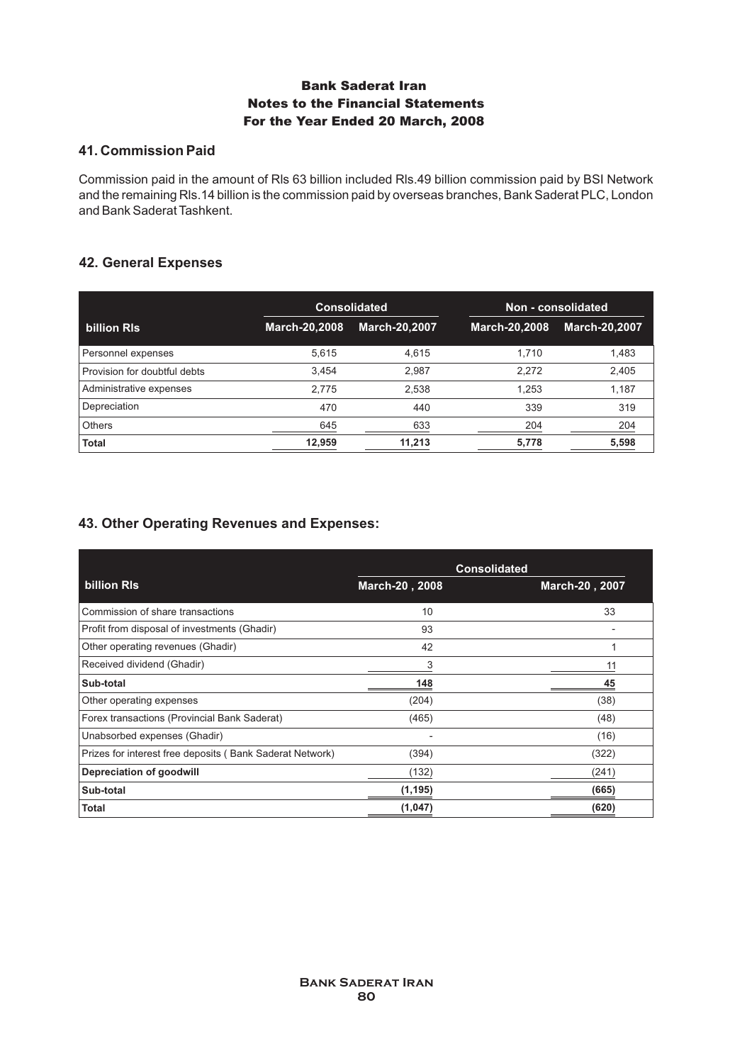### **41. Commission Paid**

Commission paid in the amount of Rls 63 billion included Rls.49 billion commission paid by BSI Network and the remaining Rls.14 billion is the commission paid by overseas branches, Bank Saderat PLC, London and Bank Saderat Tashkent.

### **42. General Expenses**

|                              | <b>Consolidated</b> |                      | Non - consolidated |                      |
|------------------------------|---------------------|----------------------|--------------------|----------------------|
| billion RIs                  | March-20,2008       | <b>March-20,2007</b> |                    | <b>March-20,2007</b> |
| Personnel expenses           | 5,615               | 4,615                | 1.710              | 1,483                |
| Provision for doubtful debts | 3,454               | 2,987                | 2.272              | 2,405                |
| Administrative expenses      | 2.775               | 2,538                | 1.253              | 1,187                |
| Depreciation                 | 470                 | 440                  | 339                | 319                  |
| <b>Others</b>                | 645                 | 633                  | 204                | 204                  |
| <b>Total</b>                 | 12,959              | 11,213               | 5,778              | 5,598                |

### **43. Other Operating Revenues and Expenses:**

|                                                          |                | <b>Consolidated</b> |
|----------------------------------------------------------|----------------|---------------------|
| billion RIs                                              | March-20, 2008 | March-20, 2007      |
| Commission of share transactions                         | 10             | 33                  |
| Profit from disposal of investments (Ghadir)             | 93             |                     |
| Other operating revenues (Ghadir)                        | 42             | 1                   |
| Received dividend (Ghadir)                               | 3              | 11                  |
| Sub-total                                                | 148            | 45                  |
| Other operating expenses                                 | (204)          | (38)                |
| Forex transactions (Provincial Bank Saderat)             | (465)          | (48)                |
| Unabsorbed expenses (Ghadir)                             |                | (16)                |
| Prizes for interest free deposits (Bank Saderat Network) | (394)          | (322)               |
| <b>Depreciation of goodwill</b>                          | (132)          | (241)               |
| Sub-total                                                | (1,195)        | (665)               |
| <b>Total</b>                                             | (1,047)        | (620)               |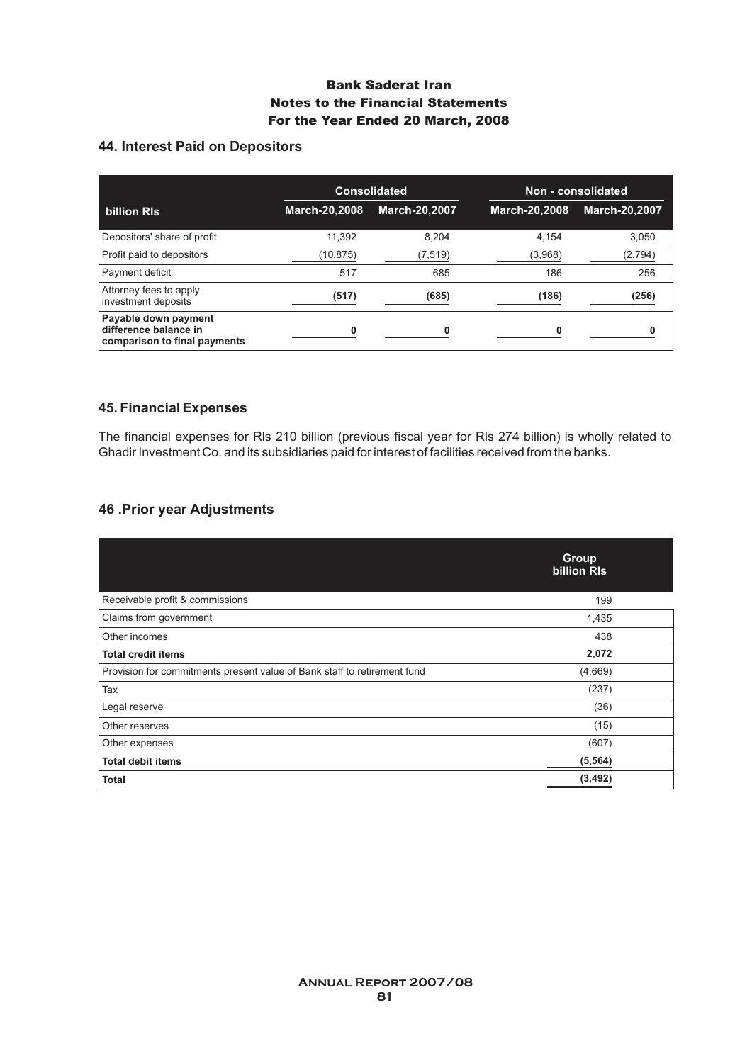# **44. Interest Paid on Depositors**

|                                                                               | <b>Consolidated</b>  |                      | Non - consolidated |                      |
|-------------------------------------------------------------------------------|----------------------|----------------------|--------------------|----------------------|
| billion RIs                                                                   | <b>March-20,2008</b> | <b>March-20,2007</b> | March-20,2008      | <b>March-20,2007</b> |
| Depositors' share of profit                                                   | 11.392               | 8,204                | 4.154              | 3,050                |
| Profit paid to depositors                                                     | (10,875)             | (7,519)              | (3,968)            | (2,794)              |
| Payment deficit                                                               | 517                  | 685                  | 186                | 256                  |
| Attorney fees to apply<br>investment deposits                                 | (517)                | (685)                | (186)              | (256)                |
| Payable down payment<br>difference balance in<br>comparison to final payments |                      |                      |                    |                      |

### **45. Financial Expenses**

The financial expenses for Rls 210 billion (previous fiscal year for Rls 274 billion) is wholly related to Ghadir Investment Co. and its subsidiaries paid for interest of facilities received from the banks.

# **46 .Prior year Adjustments**

|                                                                          | Group<br>billion RIs |  |
|--------------------------------------------------------------------------|----------------------|--|
| Receivable profit & commissions                                          | 199                  |  |
| Claims from government                                                   | 1,435                |  |
| Other incomes                                                            | 438                  |  |
| <b>Total credit items</b>                                                | 2,072                |  |
| Provision for commitments present value of Bank staff to retirement fund | (4,669)              |  |
| Tax                                                                      | (237)                |  |
| Legal reserve                                                            | (36)                 |  |
| Other reserves                                                           | (15)                 |  |
| Other expenses                                                           | (607)                |  |
| <b>Total debit items</b>                                                 | (5, 564)             |  |
| Total                                                                    | (3, 492)             |  |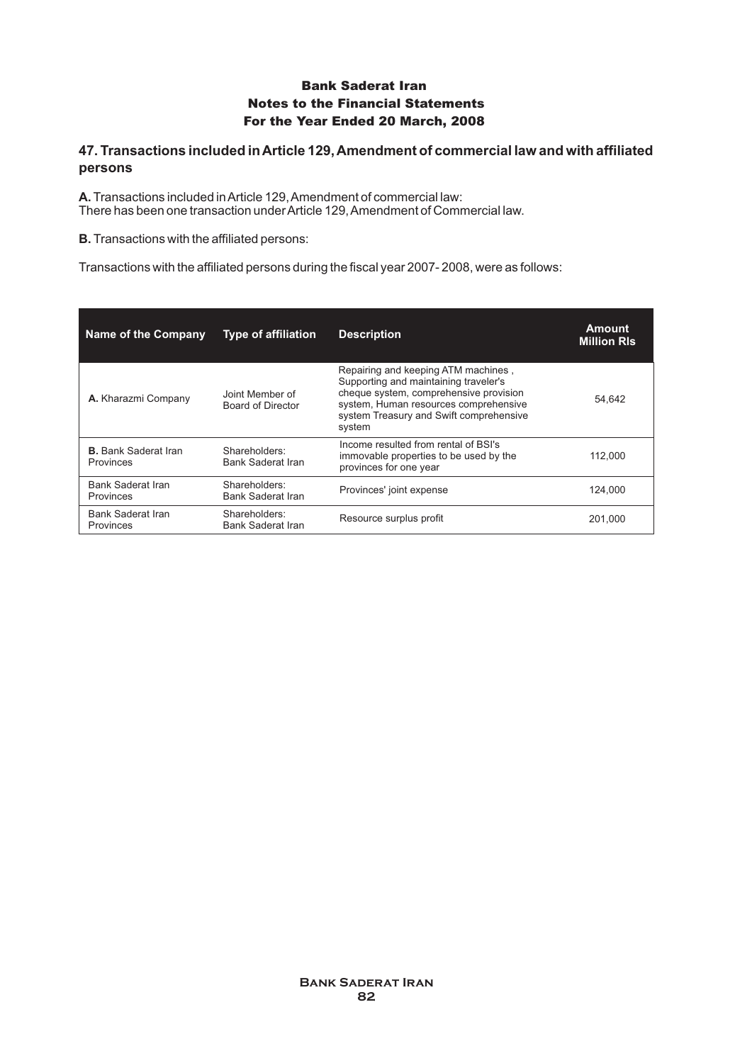### **47. Transactions included in Article 129, Amendment of commercial law and with affiliated persons**

**A.**Transactions included in Article 129, Amendment of commercial law: There has been one transaction under Article 129, Amendment of Commercial law.

**B.** Transactions with the affiliated persons:

Transactions with the affiliated persons during the fiscal year 2007- 2008, were as follows:

| Name of the Company                      | <b>Type of affiliation</b>                  | <b>Description</b>                                                                                                                                                                                                   | Amount<br><b>Million RIs</b> |
|------------------------------------------|---------------------------------------------|----------------------------------------------------------------------------------------------------------------------------------------------------------------------------------------------------------------------|------------------------------|
| A. Kharazmi Company                      | Joint Member of<br><b>Board of Director</b> | Repairing and keeping ATM machines,<br>Supporting and maintaining traveler's<br>cheque system, comprehensive provision<br>system, Human resources comprehensive<br>system Treasury and Swift comprehensive<br>system | 54.642                       |
| <b>B.</b> Bank Saderat Iran<br>Provinces | Shareholders:<br><b>Bank Saderat Iran</b>   | Income resulted from rental of BSI's<br>immovable properties to be used by the<br>provinces for one year                                                                                                             | 112.000                      |
| <b>Bank Saderat Iran</b><br>Provinces    | Shareholders:<br>Bank Saderat Iran          | Provinces' joint expense                                                                                                                                                                                             | 124.000                      |
| <b>Bank Saderat Iran</b><br>Provinces    | Shareholders:<br>Bank Saderat Iran          | Resource surplus profit                                                                                                                                                                                              | 201.000                      |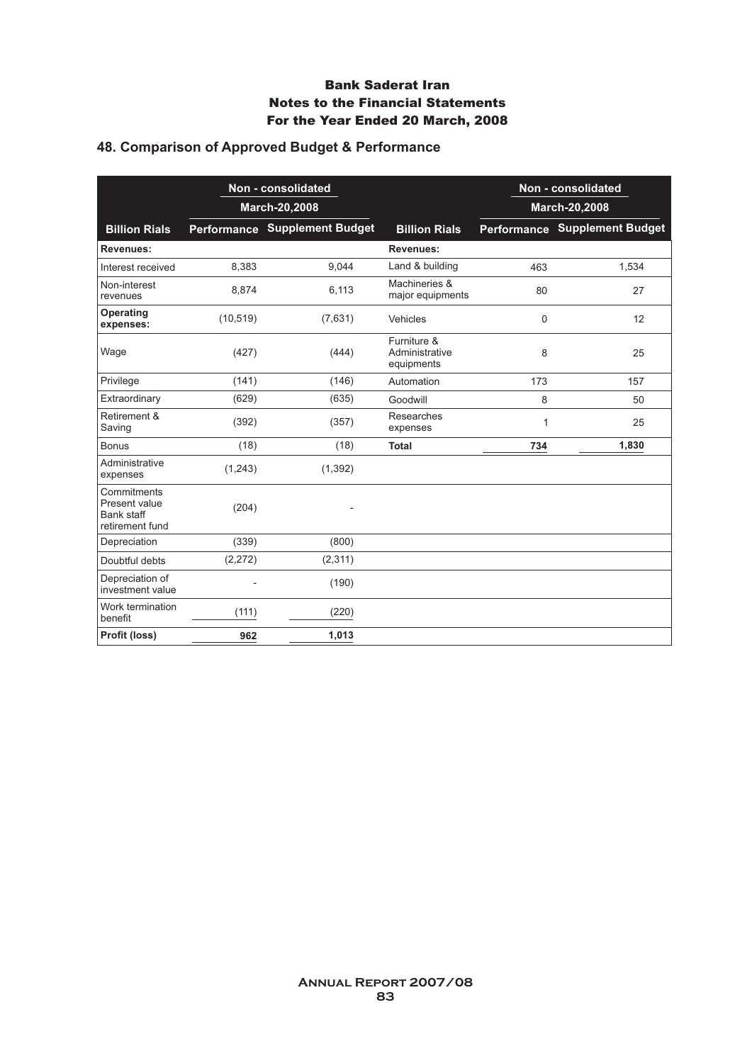# **48. Comparison of Approved Budget & Performance**

|                                                                      | Non - consolidated<br>March-20,2008 |                                      |                                             | Non - consolidated |                               |
|----------------------------------------------------------------------|-------------------------------------|--------------------------------------|---------------------------------------------|--------------------|-------------------------------|
|                                                                      |                                     |                                      |                                             |                    | March-20,2008                 |
| <b>Billion Rials</b>                                                 |                                     | <b>Performance Supplement Budget</b> | <b>Billion Rials</b>                        |                    | Performance Supplement Budget |
| <b>Revenues:</b>                                                     |                                     |                                      | <b>Revenues:</b>                            |                    |                               |
| Interest received                                                    | 8,383                               | 9,044                                | Land & building                             | 463                | 1,534                         |
| Non-interest<br>revenues                                             | 8,874                               | 6,113                                | Machineries &<br>major equipments           | 80                 | 27                            |
| <b>Operating</b><br>expenses:                                        | (10, 519)                           | (7,631)                              | Vehicles                                    | 0                  | 12                            |
| Wage                                                                 | (427)                               | (444)                                | Furniture &<br>Administrative<br>equipments | 8                  | 25                            |
| Privilege                                                            | (141)                               | (146)                                | Automation                                  | 173                | 157                           |
| Extraordinary                                                        | (629)                               | (635)                                | Goodwill                                    | 8                  | 50                            |
| Retirement &<br>Saving                                               | (392)                               | (357)                                | Researches<br>expenses                      | 1                  | 25                            |
| <b>Bonus</b>                                                         | (18)                                | (18)                                 | <b>Total</b>                                | 734                | 1,830                         |
| Administrative<br>expenses                                           | (1,243)                             | (1, 392)                             |                                             |                    |                               |
| Commitments<br>Present value<br><b>Bank staff</b><br>retirement fund | (204)                               |                                      |                                             |                    |                               |
| Depreciation                                                         | (339)                               | (800)                                |                                             |                    |                               |
| Doubtful debts                                                       | (2, 272)                            | (2, 311)                             |                                             |                    |                               |
| Depreciation of<br>investment value                                  |                                     | (190)                                |                                             |                    |                               |
| Work termination<br>benefit                                          | (111)                               | (220)                                |                                             |                    |                               |
| Profit (loss)                                                        | 962                                 | 1,013                                |                                             |                    |                               |